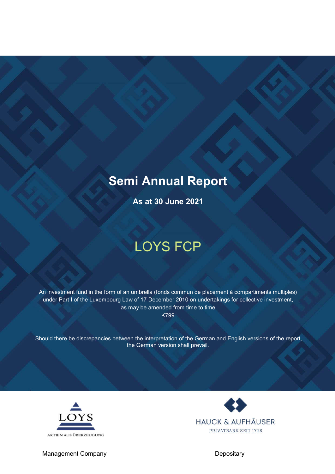## Semi Annual Report

As at 30 June 2021

# LOYS FCP

An investment fund in the form of an umbrella (fonds commun de placement à compartiments multiples) under Part I of the Luxembourg Law of 17 December 2010 on undertakings for collective investment, as may be amended from time to time K799

Should there be discrepancies between the interpretation of the German and English versions of the report, the German version shall prevail.



**HAUCK & AUFHÄUSER** PRIVATBANK SEIT 1796

Management Company Depositary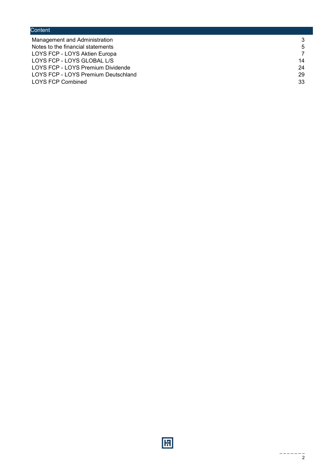## **Content** Management and Administration 3<br>Notes to the financial statements 5 Notes to the financial statements 5<br>
LOYS FCP - LOYS Aktien Europa LOYS FCP - LOYS Aktien Europa 7<br>
LOYS FCP - LOYS GLOBAL L/S 14 LOYS FCP - LOYS GLOBAL L/S<br>
LOYS FCP - LOYS Premium Dividende<br>
24 LOYS FCP - LOYS Premium Dividende LOYS FCP - LOYS Premium Deutschland 29 LOYS FCP Combined 33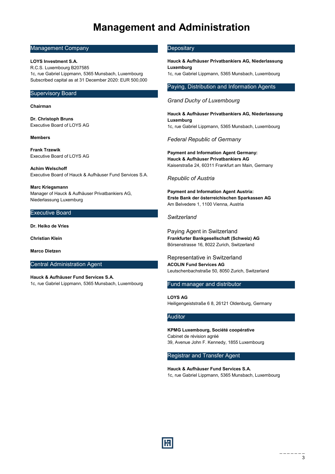## Management and Administration

### Management Company

#### LOYS Investment S.A.

R.C.S. Luxembourg B207585 1c, rue Gabriel Lippmann, 5365 Munsbach, Luxembourg Subscribed capital as at 31 December 2020: EUR 500,000

### Supervisory Board

#### Chairman

Dr. Christoph Bruns Executive Board of LOYS AG

#### Members

Frank Trzewik Executive Board of LOYS AG

Achim Welschoff Executive Board of Hauck & Aufhäuser Fund Services S.A.

Marc Kriegsmann Manager of Hauck & Aufhäuser Privatbankiers AG, Niederlassung Luxemburg

### Executive Board

Dr. Heiko de Vries

Christian Klein

Marco Dietzen

### Central Administration Agent

Hauck & Aufhäuser Fund Services S.A. 1c, rue Gabriel Lippmann, 5365 Munsbach, Luxembourg

### **Depositary**

Hauck & Aufhäuser Privatbankiers AG, Niederlassung Luxemburg

1c, rue Gabriel Lippmann, 5365 Munsbach, Luxembourg

#### Paying, Distribution and Information Agents

### *Grand Duchy of Luxembourg*

Hauck & Aufhäuser Privatbankiers AG, Niederlassung Luxemburg 1c, rue Gabriel Lippmann, 5365 Munsbach, Luxembourg

*Federal Republic of Germany*

Payment and Information Agent Germany: Hauck & Aufhäuser Privatbankiers AG Kaiserstraße 24, 60311 Frankfurt am Main, Germany

#### *Republic of Austria*

Payment and Information Agent Austria: Erste Bank der österreichischen Sparkassen AG Am Belvedere 1, 1100 Vienna, Austria

#### *Switzerland*

Paying Agent in Switzerland Frankfurter Bankgesellschaft (Schweiz) AG Börsenstrasse 16, 8022 Zurich, Switzerland

Representative in Switzerland ACOLIN Fund Services AG Leutschenbachstraße 50, 8050 Zurich, Switzerland

#### Fund manager and distributor

LOYS AG Heiligengeiststraße 6 8, 26121 Oldenburg, Germany

## Auditor

KPMG Luxembourg, Société coopérative Cabinet de révision agréé 39, Avenue John F. Kennedy, 1855 Luxembourg

Registrar and Transfer Agent

Hauck & Aufhäuser Fund Services S.A. 1c, rue Gabriel Lippmann, 5365 Munsbach, Luxembourg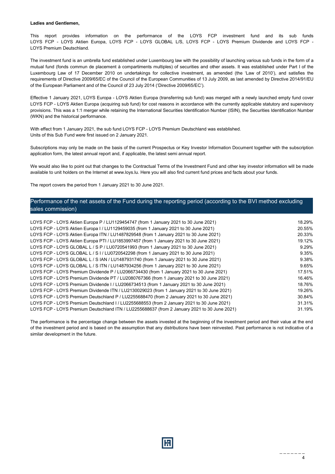#### Ladies and Gentlemen,

This report provides information on the performance of the LOYS FCP investment fund and its sub funds LOYS FCP - LOYS Aktien Europa, LOYS FCP - LOYS GLOBAL L/S, LOYS FCP - LOYS Premium Dividende and LOYS FCP -LOYS Premium Deutschland.

The investment fund is an umbrella fund established under Luxembourg law with the possibility of launching various sub funds in the form of a mutual fund (fonds commun de placement à compartiments multiples) of securities and other assets. It was established under Part I of the Luxembourg Law of 17 December 2010 on undertakings for collective investment, as amended (the 'Law of 2010'), and satisfies the requirements of Directive 2009/65/EC of the Council of the European Communities of 13 July 2009, as last amended by Directive 2014/91/EU of the European Parliament and of the Council of 23 July 2014 ('Directive 2009/65/EC').

Effective 1 January 2021, LOYS Europa - LOYS Aktien Europa (transferring sub fund) was merged with a newly launched empty fund cover LOYS FCP - LOYS Aktien Europa (acquiring sub fund) for cost reasons in accordance with the currently applicable statutory and supervisory provisions. This was a 1:1 merger while retaining the International Securities Identification Number (ISIN), the Securities Identification Number (WKN) and the historical performance.

With effect from 1 January 2021, the sub fund LOYS FCP - LOYS Premium Deutschland was established. Units of this Sub Fund were first issued on 2 January 2021.

Subscriptions may only be made on the basis of the current Prospectus or Key Investor Information Document together with the subscription application form, the latest annual report and, if applicable, the latest semi annual report.

We would also like to point out that changes to the Contractual Terms of the Investment Fund and other key investor information will be made available to unit holders on the Internet at www.loys.lu. Here you will also find current fund prices and facts about your funds.

The report covers the period from 1 January 2021 to 30 June 2021.

## Performance of the net assets of the Fund during the reporting period (according to the BVI method excluding sales commission)

| LOYS FCP - LOYS Aktien Europa P / LU1129454747 (from 1 January 2021 to 30 June 2021)         | 18.29% |
|----------------------------------------------------------------------------------------------|--------|
| LOYS FCP - LOYS Aktien Europa I / LU1129459035 (from 1 January 2021 to 30 June 2021)         | 20.55% |
| LOYS FCP - LOYS Aktien Europa ITN / LU1487829548 (from 1 January 2021 to 30 June 2021)       | 20.33% |
| LOYS FCP - LOYS Aktien Europa PTI / LU1853997457 (from 1 January 2021 to 30 June 2021)       | 19.12% |
| LOYS FCP - LOYS GLOBAL L / S P / LU0720541993 (from 1 January 2021 to 30 June 2021)          | 9.29%  |
| LOYS FCP - LOYS GLOBAL L / S I / LU0720542298 (from 1 January 2021 to 30 June 2021)          | 9.35%  |
| LOYS FCP - LOYS GLOBAL L / S IAN / LU1487931740 (from 1 January 2021 to 30 June 2021)        | 9.38%  |
| LOYS FCP - LOYS GLOBAL L / S ITN / LU1487934256 (from 1 January 2021 to 30 June 2021)        | 9.65%  |
| LOYS FCP - LOYS Premium Dividende P / LU2066734430 (from 1 January 2021 to 30 June 2021)     | 17.51% |
| LOYS FCP - LOYS Premium Dividende PT / LU2080767366 (from 1 January 2021 to 30 June 2021)    | 16.46% |
| LOYS FCP - LOYS Premium Dividende I / LU2066734513 (from 1 January 2021 to 30 June 2021)     | 18.76% |
| LOYS FCP - LOYS Premium Dividende ITN / LU2130029023 (from 1 January 2021 to 30 June 2021)   | 19.26% |
| LOYS FCP - LOYS Premium Deutschland P / LU2255688470 (from 2 January 2021 to 30 June 2021)   | 30.84% |
| LOYS FCP - LOYS Premium Deutschland I / LU2255688553 (from 2 January 2021 to 30 June 2021)   | 31.31% |
| LOYS FCP - LOYS Premium Deutschland ITN / LU2255688637 (from 2 January 2021 to 30 June 2021) | 31.19% |
|                                                                                              |        |

The performance is the percentage change between the assets invested at the beginning of the investment period and their value at the end of the investment period and is based on the assumption that any distributions have been reinvested. Past performance is not indicative of a similar development in the future.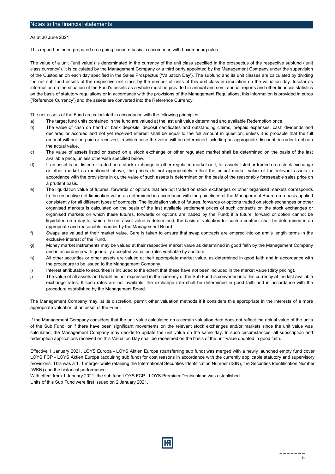As at 30 June 2021

This report has been prepared on a going concern basis in accordance with Luxembourg rules.

The value of a unit ('unit value') is denominated in the currency of the unit class specified in the prospectus of the respective subfund ('unit class currency'). It is calculated by the Management Company or a third party appointed by the Management Company under the supervision of the Custodian on each day specified in the Sales Prospectus ('Valuation Day'). The subfund and its unit classes are calculated by dividing the net sub fund assets of the respective unit class by the number of units of this unit class in circulation on the valuation day. Insofar as information on the situation of the Fund's assets as a whole must be provided in annual and semi annual reports and other financial statistics on the basis of statutory regulations or in accordance with the provisions of the Management Regulations, this information is provided in euros ('Reference Currency') and the assets are converted into the Reference Currency.

The net assets of the Fund are calculated in accordance with the following principles:

- a) The target fund units contained in the fund are valued at the last unit value determined and available Redemption price.
- b) The value of cash on hand or bank deposits, deposit certificates and outstanding claims, prepaid expenses, cash dividends and declared or accrued and not yet received interest shall be equal to the full amount in question, unless it is probable that the full amount will not be paid or received, in which case the value will be determined including an appropriate discount, in order to obtain the actual value.
- c) The value of assets listed or traded on a stock exchange or other regulated market shall be determined on the basis of the last available price, unless otherwise specified below.
- d) If an asset is not listed or traded on a stock exchange or other regulated market or if, for assets listed or traded on a stock exchange or other market as mentioned above, the prices do not appropriately reflect the actual market value of the relevant assets in accordance with the provisions in c), the value of such assets is determined on the basis of the reasonably foreseeable sales price on a prudent basis.
- e) The liquidation value of futures, forwards or options that are not traded on stock exchanges or other organised markets corresponds to the respective net liquidation value as determined in accordance with the guidelines of the Management Board on a basis applied consistently for all different types of contracts. The liquidation value of futures, forwards or options traded on stock exchanges or other organised markets is calculated on the basis of the last available settlement prices of such contracts on the stock exchanges or organised markets on which these futures, forwards or options are traded by the Fund; if a future, forward or option cannot be liquidated on a day for which the net asset value is determined, the basis of valuation for such a contract shall be determined in an appropriate and reasonable manner by the Management Board.
- f) Swaps are valued at their market value. Care is taken to ensure that swap contracts are entered into on arm's length terms in the exclusive interest of the Fund.
- g) Money market instruments may be valued at their respective market value as determined in good faith by the Management Company and in accordance with generally accepted valuation rules verifiable by auditors.
- h) All other securities or other assets are valued at their appropriate market value, as determined in good faith and in accordance with the procedure to be issued to the Management Company.
- i) Interest attributable to securities is included to the extent that these have not been included in the market value (dirty pricing).
- j) The value of all assets and liabilities not expressed in the currency of the Sub Fund is converted into this currency at the last available exchange rates. If such rates are not available, the exchange rate shall be determined in good faith and in accordance with the procedure established by the Management Board.

The Management Company may, at its discretion, permit other valuation methods if it considers this appropriate in the interests of a more appropriate valuation of an asset of the Fund.

If the Management Company considers that the unit value calculated on a certain valuation date does not reflect the actual value of the units of the Sub Fund, or if there have been significant movements on the relevant stock exchanges and/or markets since the unit value was calculated, the Management Company may decide to update the unit value on the same day. In such circumstances, all subscription and redemption applications received on this Valuation Day shall be redeemed on the basis of the unit value updated in good faith.

Effective 1 January 2021, LOYS Europa - LOYS Aktien Europa (transferring sub fund) was merged with a newly launched empty fund cover LOYS FCP - LOYS Aktien Europa (acquiring sub fund) for cost reasons in accordance with the currently applicable statutory and supervisory provisions. This was a 1: 1 merger while retaining the International Securities Identification Number (ISIN), the Securities Identification Number (WKN) and the historical performance.

With effect from 1 January 2021, the sub fund LOYS FCP - LOYS Premium Deutschland was established. Units of this Sub Fund were first issued on 2 January 2021.

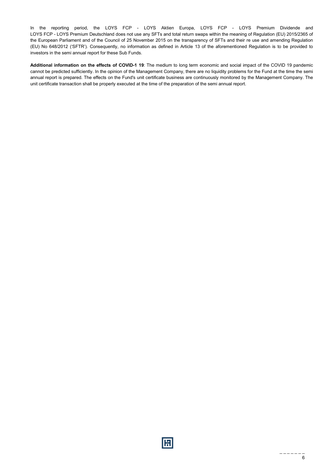In the reporting period, the LOYS FCP - LOYS Aktien Europa, LOYS FCP - LOYS Premium Dividende and LOYS FCP - LOYS Premium Deutschland does not use any SFTs and total return swaps within the meaning of Regulation (EU) 2015/2365 of the European Parliament and of the Council of 25 November 2015 on the transparency of SFTs and their re use and amending Regulation (EU) No 648/2012 ('SFTR'). Consequently, no information as defined in Article 13 of the aforementioned Regulation is to be provided to investors in the semi annual report for these Sub Funds.

Additional information on the effects of COVID-1 19: The medium to long term economic and social impact of the COVID 19 pandemic cannot be predicted sufficiently. In the opinion of the Management Company, there are no liquidity problems for the Fund at the time the semi annual report is prepared. The effects on the Fund's unit certificate business are continuously monitored by the Management Company. The unit certificate transaction shall be properly executed at the time of the preparation of the semi annual report.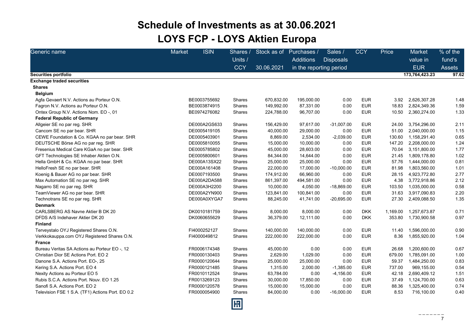## Schedule of Investments as at 30.06.2021 LOYS FCP - LOYS Aktien Europa

| Generic name                                     | <b>ISIN</b><br><b>Market</b> | Shares /<br>Units /<br><b>CCY</b> | Stock as of<br>30.06.2021 | Purchases /<br><b>Additions</b><br>in the reporting period | Sales /<br><b>Disposals</b> | <b>CCY</b> | Price    | Market<br>value in<br><b>EUR</b> | % of the<br>fund's<br><b>Assets</b> |
|--------------------------------------------------|------------------------------|-----------------------------------|---------------------------|------------------------------------------------------------|-----------------------------|------------|----------|----------------------------------|-------------------------------------|
| Securities portfolio                             |                              |                                   |                           |                                                            |                             |            |          | 173,764,423.23                   | 97.62                               |
| <b>Exchange traded securities</b>                |                              |                                   |                           |                                                            |                             |            |          |                                  |                                     |
| <b>Shares</b>                                    |                              |                                   |                           |                                                            |                             |            |          |                                  |                                     |
| <b>Belgium</b>                                   |                              |                                   |                           |                                                            |                             |            |          |                                  |                                     |
| Agfa Gevaert N.V. Actions au Porteur O.N.        | BE0003755692                 | <b>Shares</b>                     | 670,832.00                | 195,000.00                                                 | 0.00                        | <b>EUR</b> | 3.92     | 2,626,307.28                     | 1.48                                |
| Fagron N.V. Actions au Porteur O.N.              | BE0003874915                 | Shares                            | 149,992.00                | 87,331.00                                                  | 0.00                        | <b>EUR</b> | 18.83    | 2,824,349.36                     | 1.59                                |
| Ontex Group N.V. Actions Nom. EO -, 01           | BE0974276082                 | Shares                            | 224,788.00                | 96,707.00                                                  | 0.00                        | <b>EUR</b> | 10.50    | 2,360,274.00                     | 1.33                                |
| <b>Federal Republic of Germany</b>               |                              |                                   |                           |                                                            |                             |            |          |                                  |                                     |
| Allgeier SE no par reg. SHR                      | DE000A2GS633                 | Shares                            | 156,429.00                | 97,617.00                                                  | $-31,007.00$                | <b>EUR</b> | 24.00    | 3,754,296.00                     | 2.11                                |
| Cancom SE no par bear. SHR                       | DE0005419105                 | Shares                            | 40,000.00                 | 29,000.00                                                  | 0.00                        | <b>EUR</b> | 51.00    | 2,040,000.00                     | 1.15                                |
| CEWE Foundation & Co. KGAA no par bear. SHR      | DE0005403901                 | Shares                            | 8,869.00                  | 2,534.00                                                   | $-2,039.00$                 | <b>EUR</b> | 130.60   | 1,158,291.40                     | 0.65                                |
| DEUTSCHE Börse AG no par reg. SHR                | DE0005810055                 | Shares                            | 15,000.00                 | 10,000.00                                                  | 0.00                        | <b>EUR</b> | 147.20   | 2,208,000.00                     | 1.24                                |
| Fresenius Medical Care KGaA no par bear. SHR     | DE0005785802                 | Shares                            | 45,000.00                 | 28,603.00                                                  | 0.00                        | <b>EUR</b> | 70.04    | 3,151,800.00                     | 1.77                                |
| GFT Technologies SE Inhaber Aktien O.N.          | DE0005800601                 | <b>Shares</b>                     | 84,344.00                 | 14,644.00                                                  | 0.00                        | <b>EUR</b> | 21.45    | 1,809,178.80                     | 1.02                                |
| Hella GmbH & Co. KGAA no par bear. SHR           | DE000A13SX22                 | Shares                            | 25,000.00                 | 25,000.00                                                  | 0.00                        | <b>EUR</b> | 57.76    | 1,444,000.00                     | 0.81                                |
| HelloFresh SE no par bear. SHR                   | DE000A161408                 | Shares                            | 22,000.00                 | 17,000.00                                                  | $-10,000.00$                | <b>EUR</b> | 81.98    | 1,803,560.00                     | 1.01                                |
| Koenig & Bauer AG no par bear. SHR               | DE0007193500                 | Shares                            | 174,912.00                | 66,960.00                                                  | 0.00                        | <b>EUR</b> | 28.15    | 4,923,772.80                     | 2.77                                |
| Max Automation SE no par reg. SHR                | DE000A2DA588                 | Shares                            | 861,397.00                | 494,581.00                                                 | 0.00                        | <b>EUR</b> | 4.38     | 3,772,918.86                     | 2.12                                |
| Nagarro SE no par reg. SHR                       | DE000A3H2200                 | Shares                            | 10,000.00                 | 4,050.00                                                   | $-18,869.00$                | <b>EUR</b> | 103.50   | 1,035,000.00                     | 0.58                                |
| TeamViewer AG no par bear. SHR                   | DE000A2YN900                 | Shares                            | 123,841.00                | 100,841.00                                                 | 0.00                        | <b>EUR</b> | 31.63    | 3,917,090.83                     | 2.20                                |
| Technotrans SE no par reg. SHR                   | DE000A0XYGA7                 | Shares                            | 88,245.00                 | 41,741.00                                                  | $-20,695.00$                | <b>EUR</b> | 27.30    | 2,409,088.50                     | 1.35                                |
| <b>Denmark</b>                                   |                              |                                   |                           |                                                            |                             |            |          |                                  |                                     |
| CARLSBERG AS Navne Aktier B DK 20                | DK0010181759                 | Shares                            | 8,000.00                  | 8,000.00                                                   | 0.00                        | <b>DKK</b> | 1,169.00 | 1,257,673.87                     | 0.71                                |
| DFDS A/S Indehaver Aktier DK 20                  | DK0060655629                 | Shares                            | 36,379.00                 | 12,111.00                                                  | 0.00                        | <b>DKK</b> | 353.80   | 1,730,900.58                     | 0.97                                |
| <b>Finland</b>                                   |                              |                                   |                           |                                                            |                             |            |          |                                  |                                     |
| Terveystalo OYJ Registered Shares O.N.           | FI4000252127                 | Shares                            | 140,000.00                | 140,000.00                                                 | 0.00                        | <b>EUR</b> | 11.40    | 1,596,000.00                     | 0.90                                |
| Verkkokauppa.com OYJ Registered Shares O.N.      | FI4000049812                 | Shares                            | 222,000.00                | 222,000.00                                                 | 0.00                        | <b>EUR</b> | 8.36     | 1,855,920.00                     | 1.04                                |
| <b>France</b>                                    |                              |                                   |                           |                                                            |                             |            |          |                                  |                                     |
| Bureau Veritas SA Actions au Porteur EO -, 12    | FR0006174348                 | Shares                            | 45,000.00                 | 0.00                                                       | 0.00                        | <b>EUR</b> | 26.68    | 1,200,600.00                     | 0.67                                |
| Christian Dior SE Actions Port, EO 2             | FR0000130403                 | Shares                            | 2,629.00                  | 1,029.00                                                   | 0.00                        | <b>EUR</b> | 679.00   | 1,785,091.00                     | 1.00                                |
| Danone S.A. Actions Port. EO-, 25                | FR0000120644                 | Shares                            | 25,000.00                 | 25,000.00                                                  | 0.00                        | <b>EUR</b> | 59.37    | 1,484,250.00                     | 0.83                                |
| Kering S.A. Actions Port. EO 4                   | FR0000121485                 | Shares                            | 1,315.00                  | 2,000.00                                                   | $-1,385.00$                 | <b>EUR</b> | 737.00   | 969,155.00                       | 0.54                                |
| Nexity Actions au Porteur EO 5                   | FR0010112524                 | Shares                            | 63,784.00                 | 0.00                                                       | $-4,156.00$                 | <b>EUR</b> | 42.18    | 2,690,409.12                     | 1.51                                |
| Rubis S.C.A. Actions Port. Nouv. EO 1.25         | FR0013269123                 | Shares                            | 30,000.00                 | 17,850.00                                                  | 0.00                        | <b>EUR</b> | 37.49    | 1,124,700.00                     | 0.63                                |
| Sanofi S.A. Actions Port. EO 2                   | FR0000120578                 | Shares                            | 15,000.00                 | 15,000.00                                                  | 0.00                        | <b>EUR</b> | 88.36    | 1,325,400.00                     | 0.74                                |
| Television FSE 1 S.A. (TF1) Actions Port. EO 0.2 | FR0000054900                 | Shares                            | 84,000.00                 | 0.00                                                       | $-16,000.00$                | <b>EUR</b> | 8.53     | 716,100.00                       | 0.40                                |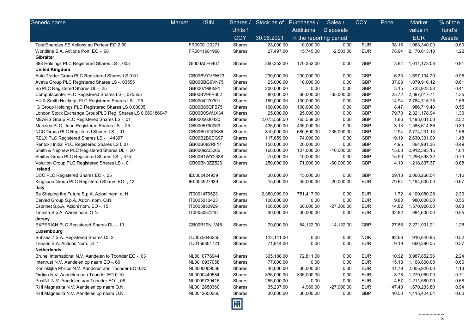| Generic name                                              | <b>ISIN</b><br>Market | Shares /                | Stock as of Purchases / |                         | Sales /          | <b>CCY</b> | Price | <b>Market</b>      | % of the      |
|-----------------------------------------------------------|-----------------------|-------------------------|-------------------------|-------------------------|------------------|------------|-------|--------------------|---------------|
|                                                           |                       | Units /                 |                         | Additions               | <b>Disposals</b> |            |       | value in           | fund's        |
|                                                           |                       | <b>CCY</b>              | 30.06.2021              | in the reporting period |                  |            |       | <b>EUR</b>         | <b>Assets</b> |
| TotalEnergies SE Actions au Porteur EO 2.50               | FR0000120271          | Shares                  | 28,000.00               | 10,000.00               | 0.00             | <b>EUR</b> | 38.16 | 1,068,340.00       | 0.60          |
| Worldline S.A. Actions Port. EO -, 68                     | FR0011981968          | Shares                  | 27,497.00               | 15,745.00               | $-2,503.00$      | <b>EUR</b> | 78.94 | 2,170,613.18       | 1.22          |
| Gibraltar                                                 |                       |                         |                         |                         |                  |            |       |                    |               |
| 888 Holdings PLC Registered Shares LS-, 005               | GI000A0F6407          | Shares                  | 360,352.00              | 170,352.00              | 0.00             | <b>GBP</b> | 3.84  | 1,611,173.08       | 0.91          |
| <b>United Kingdom</b>                                     |                       |                         |                         |                         |                  |            |       |                    |               |
| Auto Trader Group PLC Registered Shares LS 0.01           | GB00BVYVFW23          | Shares                  | 230,000.00              | 230,000.00              | 0.00             | <b>GBP</b> | 6.33  | 1,697,134.20       | 0.95          |
| Aveva Group PLC Registered Shares LS-, 03555              | GB00BBG9VN75          | Shares                  | 25,000.00               | 10,000.00               | 0.00             | <b>GBP</b> | 37.08 | 1,079,916.12       | 0.61          |
| Bp PLC Registered Shares DL-, 25                          | GB0007980591          | Shares                  | 200,000.00              | 0.00                    | 0.00             | <b>GBP</b> | 3.15  | 733,923.58         | 0.41          |
| Computacenter PLC Registered Shares LS-, 075555           | GB00BV9FP302          | Shares                  | 80,000.00               | 60,000.00               | $-35,000.00$     | <b>GBP</b> |       | 25.72 2,397,017.71 | 1.35          |
| Hill & Smith Holdings PLC Registered Shares LS -, 25      | GB0004270301          | Shares                  | 160,000.00              | 100,000.00              | 0.00             | <b>GBP</b> | 14.94 | 2,784,715.75       | 1.56          |
| IG Group Holdings PLC Registered Shares LS 0.00005        | GB00B06QFB75          | Shares                  | 100,000.00              | 100,000.00              | 0.00             | <b>GBP</b> | 8.47  | 986,719.48         | 0.55          |
| London Stock Exchange GroupPLC Reg. Shares LS 0.069186047 | GB00B0SWJX34          | Shares                  | 25,000.00               | 25,000.00               | 0.00             | <b>GBP</b> | 79.70 | 2,321,178.94       | 1.30          |
| MEARS Group PLC Registered Shares LS -, 01                | GB0005630420          | Shares                  | 2,073,558.00            | 765,558.00              | 0.00             | GBP        | 1.86  | 4,493,031.08       | 2.52          |
| Menzies PLC, John Registered Shares LS -, 25              | GB0005790059          | Shares                  | 435,000.00              | 435,000.00              | 0.00             | <b>GBP</b> | 3.13  | 1,583,614.86       | 0.89          |
| NCC Group PLC Registered Shares LS-, 01                   | GB00B01QGK86          | Shares                  | 810,000.00              | 680,500.00              | $-235,000.00$    | GBP        | 2.94  | 2,774,231.13       | 1.56          |
| RELX PLC Registered Shares LS -, 144397                   | GB00B2B0DG97          | Shares                  | 117,659.00              | 74,000.00               | 0.00             | <b>GBP</b> | 19.19 | 2,630,331.09       | 1.48          |
| Rentokil Initial PLC Registered Shares LS 0.01            | GB00B082RF11          | Shares                  | 150,000.00              | 20,000.00               | 0.00             | <b>GBP</b> | 4.95  | 864,981.36         | 0.49          |
| Smith & Nephew PLC Registered Shares DL -, 20             | GB0009223206          | Shares                  | 160,000.00              | 107,000.00              | $-10,000.00$     | <b>GBP</b> | 15.63 | 2,912,395.15       | 1.64          |
| Smiths Group PLC Registered Shares LS-, 375               | GB00B1WY2338          | Shares                  | 70,000.00               | 10,000.00               | 0.00             | <b>GBP</b> | 15.90 | 1,296,598.32       | 0.73          |
| Volution Group PLC Registered Shares LS -, 01             | GB00BN3ZZ526          | Shares                  | 250,000.00              | 71,000.00               | $-60,000.00$     | <b>GBP</b> | 4.19  | 1,218,837.37       | 0.68          |
| Ireland                                                   |                       |                         |                         |                         |                  |            |       |                    |               |
| DCC PLC Registered Shares EO -, 25                        | IE0002424939          | Shares                  | 30,000.00               | 15,000.00               | 0.00             | <b>GBP</b> | 59.18 | 2,068,266.54       | 1.16          |
| Kingspan Group PLC Registered Shares EO -, 13<br>Italy    | IE0004927939          | <b>Shares</b>           | 15,000.00               | 35,000.00               | $-20,000.00$     | <b>EUR</b> | 79.64 | 1,194,600.00       | 0.67          |
| Be Shaping the Future S.p.A. Azioni nom. o. N.            | IT0001479523          | Shares                  | 2,380,999.00            | 751,417.00              | 0.00             | <b>EUR</b> | 1.72  | 4,100,080.28       | 2.30          |
| Cerved Group S.p.A. Azioni nom. O.N.                      | IT0005010423          | Shares                  | 100,000.00              | 0.00                    | 0.00             | <b>EUR</b> | 9.80  | 980,000.00         | 0.55          |
| Esprinet S.p.A. Azioni nom. EO -, 15                      | IT0003850929          | Shares                  | 106,000.00              | 60,000.00               | -27,300.00       | <b>EUR</b> | 14.82 | 1,570,920.00       | 0.88          |
| Tinexta S.p.A. Azioni nom. O.N.                           | IT0005037210          | Shares                  | 30,000.00               | 30,000.00               | 0.00             | <b>EUR</b> | 32.82 | 984,600.00         | 0.55          |
| Jersey                                                    |                       |                         |                         |                         |                  |            |       |                    |               |
| <b>EXPERIAN PLC Registered Shares DL-, 10</b>             | GB00B19NLV48          | Shares                  | 70,000.00               | 84,122.00               | $-14,122.00$     | <b>GBP</b> | 27.86 | 2,271,901.21       | 1.28          |
| Luxembourg                                                |                       |                         |                         |                         |                  |            |       |                    |               |
| Subsea 7 S.A. Registered Shares DL 2                      | LU0075646355          | Shares                  | 113,141.00              | 0.00                    | 0.00             | <b>NOK</b> | 82.66 | 916,840.85         | 0.52          |
| Tenaris S.A. Actions Nom. DL 1                            | LU0156801721          | Shares                  | 71,844.00               | 0.00                    | 0.00             | <b>EUR</b> | 9.19  | 660,390.05         | 0.37          |
| <b>Netherlands</b>                                        |                       |                         |                         |                         |                  |            |       |                    |               |
| Brunel International N.V. Aandelen to Toonder EO -, 03    | NL0010776944          | Shares                  | 365,188.00              | 72,811.00               | 0.00             | <b>EUR</b> | 10.92 | 3,987,852.96       | 2.24          |
| Intertrust N.V. Aandelen op naam EO -, 60                 | NL0010937058          | Shares                  | 77,000.00               | 0.00                    | 0.00             | <b>EUR</b> | 15.18 | 1,168,860.00       | 0.66          |
| Koninklijke Philips N.V. Aandelen aan Toonder EO 0.20     | NL0000009538          | Shares                  | 48,000.00               | 36,000.00               | 0.00             | <b>EUR</b> | 41.79 | 2,005,920.00       | 1.13          |
| Ordina N.V. Aandelen aan Toonder EO 0.10                  | NL0000440584          | Shares                  | 336,000.00              | 336,000.00              | 0.00             | <b>EUR</b> | 3.78  | 1,270,080.00       | 0.71          |
| PostNL N.V. Aandelen aan Toonder EO -, 08                 | NL0009739416          | Shares                  | 265,000.00              | 0.00                    | 0.00             | <b>EUR</b> | 4.57  | 1,211,580.00       | 0.68          |
| RHI Magnesita N.V. Aandelen op naam O.N.                  | NL0012650360          | Shares                  | 35,237.00               | 4,969.00                | $-27,000.00$     | <b>EUR</b> | 47.40 | 1,670,233.80       | 0.94          |
| RHI Magnesita N.V. Aandelen op naam O.N.                  | NL0012650360          | Shares                  | 30,000.00               | 30,000.00               | 0.00             | <b>GBP</b> | 40.50 | 1,415,424.04       | 0.80          |
|                                                           |                       | $\overline{\mathbb{E}}$ |                         |                         |                  |            |       |                    |               |

8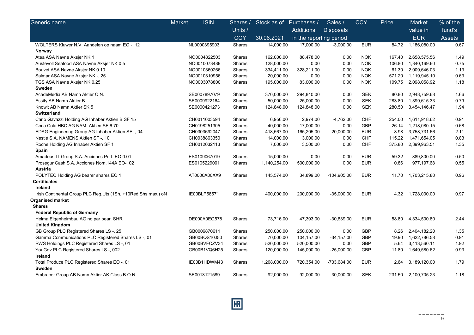| Generic name                                                  | <b>ISIN</b><br>Market | Shares /      | Stock as of  | Purchases /             | Sales /          | <b>CCY</b> | Price  | <b>Market</b> | % of the |
|---------------------------------------------------------------|-----------------------|---------------|--------------|-------------------------|------------------|------------|--------|---------------|----------|
|                                                               |                       | Units /       |              | <b>Additions</b>        | <b>Disposals</b> |            |        | value in      | fund's   |
|                                                               |                       | <b>CCY</b>    | 30.06.2021   | in the reporting period |                  |            |        | <b>EUR</b>    | Assets   |
| WOLTERS Kluwer N.V. Aandelen op naam EO -, 12                 | NL0000395903          | Shares        | 14,000.00    | 17,000.00               | $-3,000.00$      | <b>EUR</b> | 84.72  | 1,186,080.00  | 0.67     |
| Norway                                                        |                       |               |              |                         |                  |            |        |               |          |
| Atea ASA Navne Aksjer NK 1                                    | NO0004822503          | Shares        | 162,000.00   | 88,478.00               | 0.00             | <b>NOK</b> | 167.40 | 2,658,575.56  | 1.49     |
| Austevoll Seafood ASA Navne Aksjer NK 0.5                     | NO0010073489          | Shares        | 128,000.00   | 0.00                    | 0.00             | <b>NOK</b> | 106.80 | 1,340,169.60  | 0.75     |
| Bouvet ASA Navne Aksjer NK 0.10                               | NO0010360266          | Shares        | 334,411.00   | 328,211.00              | 0.00             | <b>NOK</b> | 61.30  | 2,009,646.03  | 1.13     |
| Salmar ASA Navne Aksjer NK -, 25                              | NO0010310956          | Shares        | 20,000.00    | 0.00                    | 0.00             | <b>NOK</b> | 571.20 | 1,119,945.10  | 0.63     |
| TGS ASA Navne Aksjer NK 0.25                                  | NO0003078800          | <b>Shares</b> | 195,000.00   | 83,000.00               | 0.00             | <b>NOK</b> | 109.75 | 2,098,058.92  | 1.18     |
| Sweden                                                        |                       |               |              |                         |                  |            |        |               |          |
| AcadeMedia AB Namn Aktier O.N.                                | SE0007897079          | Shares        | 370,000.00   | 294,840.00              | 0.00             | <b>SEK</b> | 80.80  | 2,948,759.68  | 1.66     |
| Essity AB Namn Aktier B                                       | SE0009922164          | Shares        | 50,000.00    | 25,000.00               | 0.00             | <b>SEK</b> | 283.80 | 1,399,615.33  | 0.79     |
| Knowit AB Namn Aktier SK 5                                    | SE0000421273          | <b>Shares</b> | 124,848.00   | 124,848.00              | 0.00             | <b>SEK</b> | 280.50 | 3,454,146.47  | 1.94     |
| <b>Switzerland</b>                                            |                       |               |              |                         |                  |            |        |               |          |
| Carlo Gavazzi Holding AG Inhaber Aktien B SF 15               | CH0011003594          | Shares        | 6,956.00     | 2,974.00                | $-4,762.00$      | <b>CHF</b> | 254.00 | 1,611,918.62  | 0.91     |
| Coca Cola HBC AG NAM.-Aktien SF 6.70                          | CH0198251305          | Shares        | 40,000.00    | 17,000.00               | 0.00             | <b>GBP</b> | 26.14  | 1,218,080.15  | 0.68     |
| EDAG Engineering Group AG Inhaber Aktien SF -, 04             | CH0303692047          | Shares        | 418,567.00   | 165,205.00              | $-20,000.00$     | <b>EUR</b> | 8.98   | 3,758,731.66  | 2.11     |
| Nestlé S.A. NAMENS Aktien SF-, 10                             | CH0038863350          | Shares        | 14,000.00    | 3,000.00                | 0.00             | CHF        | 115.22 | 1,471,654.05  | 0.83     |
| Roche Holding AG Inhaber Aktien SF 1                          | CH0012032113          | Shares        | 7,000.00     | 3,500.00                | 0.00             | CHF        | 375.80 | 2,399,963.51  | 1.35     |
| Spain                                                         |                       |               |              |                         |                  |            |        |               |          |
| Amadeus IT Group S.A. Acciones Port. EO 0.01                  | ES0109067019          | <b>Shares</b> | 15,000.00    | 0.00                    | 0.00             | <b>EUR</b> | 59.32  | 889.800.00    | 0.50     |
| Prosegur Cash S.A. Acciones Nom.144A EO-, 02                  | ES0105229001          | Shares        | 1,140,254.00 | 500,000.00              | 0.00             | <b>EUR</b> | 0.86   | 977,197.68    | 0.55     |
| Austria                                                       |                       |               |              |                         |                  |            |        |               |          |
| POLYTEC Holding AG bearer shares EO 1                         | AT0000A00XX9          | Shares        | 145,574.00   | 34,899.00               | $-104,905.00$    | <b>EUR</b> | 11.70  | 1,703,215.80  | 0.96     |
| <b>Certificates</b>                                           |                       |               |              |                         |                  |            |        |               |          |
| Ireland                                                       |                       |               |              |                         |                  |            |        |               |          |
| Irish Continental Group PLC Reg.Uts (1Sh. +10Red.Shs max.) oN | IE00BLP58571          | Shares        | 400,000.00   | 200,000.00              | $-35,000.00$     | <b>EUR</b> | 4.32   | 1,728,000.00  | 0.97     |
| Organised market                                              |                       |               |              |                         |                  |            |        |               |          |
| <b>Shares</b>                                                 |                       |               |              |                         |                  |            |        |               |          |
| <b>Federal Republic of Germany</b>                            |                       |               |              |                         |                  |            |        |               |          |
| Helma Eigenheimbau AG no par bear. SHR                        | DE000A0EQ578          | <b>Shares</b> | 73,716.00    | 47,393.00               | $-30,639.00$     | <b>EUR</b> | 58.80  | 4,334,500.80  | 2.44     |
| <b>United Kingdom</b>                                         |                       |               |              |                         |                  |            |        |               |          |
| GB Group PLC Registered Shares LS-, 25                        | GB0006870611          | Shares        | 250,000.00   | 250,000.00              | 0.00             | <b>GBP</b> | 8.26   | 2,404,182.20  | 1.35     |
| Gamma Communications PLC Registered Shares LS -, 01           | GB00BQS10J50          | Shares        | 70,000.00    | 104,157.00              | $-34, 157.00$    | <b>GBP</b> | 19.90  | 1,622,786.58  | 0.91     |
| RWS Holdings PLC Registered Shares LS-, 01                    | GB00BVFCZV34          | Shares        | 520,000.00   | 520,000.00              | 0.00             | <b>GBP</b> | 5.64   | 3,413,560.11  | 1.92     |
| YouGov PLC Registered Shares LS -, 002                        | GB00B1VQ6H25          | Shares        | 120,000.00   | 145,000.00              | $-25,000.00$     | <b>GBP</b> | 11.80  | 1,649,580.62  | 0.93     |
| Ireland                                                       |                       |               |              |                         |                  |            |        |               |          |
| Total Produce PLC Registered Shares EO -, 01                  | IE00B1HDWM43          | Shares        | 1,208,000.00 | 720,354.00              | -733,684.00      | <b>EUR</b> | 2.64   | 3,189,120.00  | 1.79     |
| Sweden                                                        |                       |               |              |                         |                  |            |        |               |          |
| Embracer Group AB Namn Aktier AK Class B O.N.                 | SE0013121589          | Shares        | 92,000.00    | 92,000.00               | $-30,000.00$     | <b>SEK</b> | 231.50 | 2,100,705.23  | 1.18     |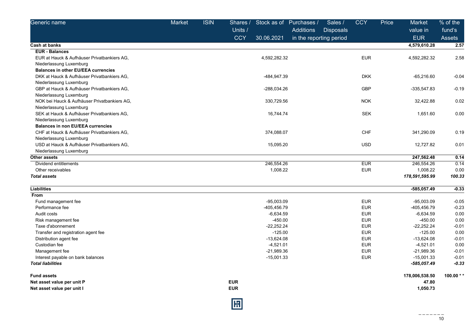| Units /<br><b>Additions</b><br><b>Disposals</b><br>value in<br><b>CCY</b><br><b>EUR</b><br>30.06.2021<br>in the reporting period<br>4,579,610.28<br><b>Cash at banks</b><br><b>EUR - Balances</b><br><b>EUR</b><br>4,592,282.32<br>EUR at Hauck & Aufhäuser Privatbankiers AG.<br>4,592,282.32<br>Niederlassung Luxemburg<br><b>Balances in other EU/EEA currencies</b><br>-484,947.39<br><b>DKK</b><br>DKK at Hauck & Aufhäuser Privatbankiers AG.<br>$-65,216.60$<br>Niederlassung Luxemburg<br>GBP at Hauck & Aufhäuser Privatbankiers AG,<br>-288,034.26<br><b>GBP</b><br>$-335,547.83$<br>Niederlassung Luxemburg<br>NOK bei Hauck & Aufhäuser Privatbankiers AG,<br><b>NOK</b><br>32,422.88<br>330,729.56 | % of the      |
|-----------------------------------------------------------------------------------------------------------------------------------------------------------------------------------------------------------------------------------------------------------------------------------------------------------------------------------------------------------------------------------------------------------------------------------------------------------------------------------------------------------------------------------------------------------------------------------------------------------------------------------------------------------------------------------------------------------------|---------------|
|                                                                                                                                                                                                                                                                                                                                                                                                                                                                                                                                                                                                                                                                                                                 | fund's        |
|                                                                                                                                                                                                                                                                                                                                                                                                                                                                                                                                                                                                                                                                                                                 | <b>Assets</b> |
|                                                                                                                                                                                                                                                                                                                                                                                                                                                                                                                                                                                                                                                                                                                 | 2.57          |
|                                                                                                                                                                                                                                                                                                                                                                                                                                                                                                                                                                                                                                                                                                                 |               |
|                                                                                                                                                                                                                                                                                                                                                                                                                                                                                                                                                                                                                                                                                                                 | 2.58          |
|                                                                                                                                                                                                                                                                                                                                                                                                                                                                                                                                                                                                                                                                                                                 |               |
|                                                                                                                                                                                                                                                                                                                                                                                                                                                                                                                                                                                                                                                                                                                 |               |
|                                                                                                                                                                                                                                                                                                                                                                                                                                                                                                                                                                                                                                                                                                                 | $-0.04$       |
|                                                                                                                                                                                                                                                                                                                                                                                                                                                                                                                                                                                                                                                                                                                 |               |
|                                                                                                                                                                                                                                                                                                                                                                                                                                                                                                                                                                                                                                                                                                                 | $-0.19$       |
|                                                                                                                                                                                                                                                                                                                                                                                                                                                                                                                                                                                                                                                                                                                 |               |
|                                                                                                                                                                                                                                                                                                                                                                                                                                                                                                                                                                                                                                                                                                                 | 0.02          |
| Niederlassung Luxemburg                                                                                                                                                                                                                                                                                                                                                                                                                                                                                                                                                                                                                                                                                         |               |
| <b>SEK</b><br>SEK at Hauck & Aufhäuser Privatbankiers AG,<br>16,744.74<br>1,651.60                                                                                                                                                                                                                                                                                                                                                                                                                                                                                                                                                                                                                              | 0.00          |
| Niederlassung Luxemburg                                                                                                                                                                                                                                                                                                                                                                                                                                                                                                                                                                                                                                                                                         |               |
| <b>Balances in non EU/EEA currencies</b>                                                                                                                                                                                                                                                                                                                                                                                                                                                                                                                                                                                                                                                                        |               |
| CHF<br>CHF at Hauck & Aufhäuser Privatbankiers AG.<br>374,088.07<br>341,290.09                                                                                                                                                                                                                                                                                                                                                                                                                                                                                                                                                                                                                                  | 0.19          |
| Niederlassung Luxemburg                                                                                                                                                                                                                                                                                                                                                                                                                                                                                                                                                                                                                                                                                         |               |
| USD at Hauck & Aufhäuser Privatbankiers AG,<br><b>USD</b><br>12,727.82<br>15,095.20                                                                                                                                                                                                                                                                                                                                                                                                                                                                                                                                                                                                                             | 0.01          |
| Niederlassung Luxemburg                                                                                                                                                                                                                                                                                                                                                                                                                                                                                                                                                                                                                                                                                         |               |
| <b>Other assets</b><br>247,562.48                                                                                                                                                                                                                                                                                                                                                                                                                                                                                                                                                                                                                                                                               | 0.14          |
| Dividend entitlements<br>246,554.26<br><b>EUR</b><br>246,554.26                                                                                                                                                                                                                                                                                                                                                                                                                                                                                                                                                                                                                                                 | 0.14          |
| 1,008.22<br><b>EUR</b><br>1,008.22<br>Other receivables                                                                                                                                                                                                                                                                                                                                                                                                                                                                                                                                                                                                                                                         | 0.00          |
| <b>Total assets</b><br>178,591,595.99                                                                                                                                                                                                                                                                                                                                                                                                                                                                                                                                                                                                                                                                           | 100.33        |
| <b>Liabilities</b><br>$-585,057.49$                                                                                                                                                                                                                                                                                                                                                                                                                                                                                                                                                                                                                                                                             | $-0.33$       |
| From                                                                                                                                                                                                                                                                                                                                                                                                                                                                                                                                                                                                                                                                                                            |               |
| Fund management fee<br>$-95,003.09$<br><b>EUR</b><br>$-95,003.09$                                                                                                                                                                                                                                                                                                                                                                                                                                                                                                                                                                                                                                               | $-0.05$       |
| <b>EUR</b><br>Performance fee<br>-405,456.79<br>-405,456.79                                                                                                                                                                                                                                                                                                                                                                                                                                                                                                                                                                                                                                                     | $-0.23$       |
| Audit costs<br>$-6,634.59$<br><b>EUR</b><br>$-6,634.59$                                                                                                                                                                                                                                                                                                                                                                                                                                                                                                                                                                                                                                                         | 0.00          |
| <b>EUR</b><br>$-450.00$<br>$-450.00$<br>Risk management fee                                                                                                                                                                                                                                                                                                                                                                                                                                                                                                                                                                                                                                                     | 0.00          |
| <b>EUR</b><br>Taxe d'abonnement<br>$-22,252.24$<br>$-22,252.24$                                                                                                                                                                                                                                                                                                                                                                                                                                                                                                                                                                                                                                                 | $-0.01$       |
| $-125.00$<br><b>EUR</b><br>$-125.00$<br>Transfer and registration agent fee                                                                                                                                                                                                                                                                                                                                                                                                                                                                                                                                                                                                                                     | 0.00          |
| $-13,624.08$<br><b>EUR</b><br>$-13,624.08$<br>Distribution agent fee                                                                                                                                                                                                                                                                                                                                                                                                                                                                                                                                                                                                                                            | $-0.01$       |
| <b>EUR</b><br>$-4,521.01$<br>Custodian fee<br>$-4,521.01$                                                                                                                                                                                                                                                                                                                                                                                                                                                                                                                                                                                                                                                       | 0.00          |
| $-21,989.36$<br><b>EUR</b><br>$-21,989.36$<br>Management fee                                                                                                                                                                                                                                                                                                                                                                                                                                                                                                                                                                                                                                                    | $-0.01$       |
| <b>EUR</b><br>$-15,001.33$<br>Interest payable on bank balances<br>$-15,001.33$                                                                                                                                                                                                                                                                                                                                                                                                                                                                                                                                                                                                                                 | $-0.01$       |
| <b>Total liabilities</b><br>$-585,057.49$                                                                                                                                                                                                                                                                                                                                                                                                                                                                                                                                                                                                                                                                       | $-0.33$       |
| 178,006,538.50<br><b>Fund assets</b>                                                                                                                                                                                                                                                                                                                                                                                                                                                                                                                                                                                                                                                                            | 100.00 $*$    |
| <b>EUR</b><br>Net asset value per unit P<br>47.80                                                                                                                                                                                                                                                                                                                                                                                                                                                                                                                                                                                                                                                               |               |
| <b>EUR</b><br>1,050.73<br>Net asset value per unit I                                                                                                                                                                                                                                                                                                                                                                                                                                                                                                                                                                                                                                                            |               |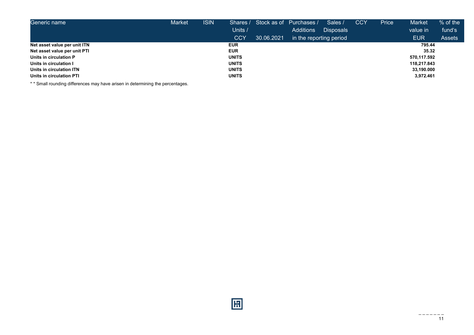| Generic name                 | <b>Market</b> | <b>ISIN</b> |              |            | Shares / Stock as of Purchases / | Sales /          | <b>CCY</b> | Price | Market      | $%$ of the    |
|------------------------------|---------------|-------------|--------------|------------|----------------------------------|------------------|------------|-------|-------------|---------------|
|                              |               |             | Units /      |            | Additions                        | <b>Disposals</b> |            |       | value in    | fund's        |
|                              |               |             | <b>CCY</b>   | 30.06.2021 | in the reporting period          |                  |            |       | <b>EUR</b>  | <b>Assets</b> |
| Net asset value per unit ITN |               |             | <b>EUR</b>   |            |                                  |                  |            |       | 795.44      |               |
| Net asset value per unit PTI |               |             | <b>EUR</b>   |            |                                  |                  |            |       | 35.32       |               |
| Units in circulation P       |               |             | <b>UNITS</b> |            |                                  |                  |            |       | 570,117.592 |               |
| Units in circulation I       |               |             | <b>UNITS</b> |            |                                  |                  |            |       | 118,217.843 |               |
| Units in circulation ITN     |               |             | <b>UNITS</b> |            |                                  |                  |            |       | 33,190.000  |               |
| Units in circulation PTI     |               |             | <b>UNITS</b> |            |                                  |                  |            |       | 3,972.461   |               |

\* \* Small rounding differences may have arisen in determining the percentages.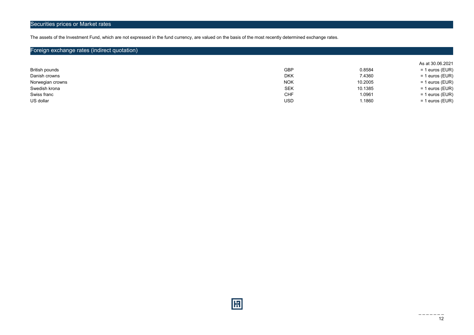## Securities prices or Market rates

The assets of the Investment Fund, which are not expressed in the fund currency, are valued on the basis of the most recently determined exchange rates.

## Foreign exchange rates (indirect quotation)

|                  |            |         | As at 30.06.2021  |
|------------------|------------|---------|-------------------|
| British pounds   | <b>GBP</b> | 0.8584  | $= 1$ euros (EUR) |
| Danish crowns    | <b>DKK</b> | 7.4360  | $= 1$ euros (EUR) |
| Norwegian crowns | <b>NOK</b> | 10.2005 | $= 1$ euros (EUR) |
| Swedish krona    | SEK        | 10.1385 | $= 1$ euros (EUR) |
| Swiss franc      | CHF        | 1.0961  | $= 1$ euros (EUR) |
| US dollar        | <b>USD</b> | 1.1860  | $= 1$ euros (EUR) |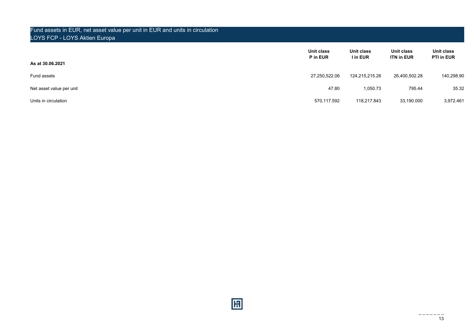## Fund assets in EUR, net asset value per unit in EUR and units in circulation LOYS FCP - LOYS Aktien Europa

| As at 30.06.2021         | Unit class<br>P in EUR | Unit class<br>I in EUR | Unit class<br><b>ITN in EUR</b> | Unit class<br><b>PTI in EUR</b> |
|--------------------------|------------------------|------------------------|---------------------------------|---------------------------------|
| Fund assets              | 27,250,522.06          | 124,215,215.26         | 26,400,502.28                   | 140,298.90                      |
| Net asset value per unit | 47.80                  | 1,050.73               | 795.44                          | 35.32                           |
| Units in circulation     | 570,117.592            | 118,217.843            | 33,190.000                      | 3,972.461                       |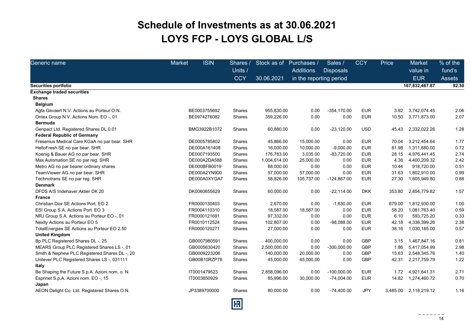## Schedule of Investments as at 30.06.2021 LOYS FCP - LOYS GLOBAL L/S

| Generic name                                   | <b>Market</b> | <b>ISIN</b>  | Shares /      | Stock as of  | Purchases /             | Sales /          | <b>CCY</b> | Price    | <b>Market</b>       | % of the      |
|------------------------------------------------|---------------|--------------|---------------|--------------|-------------------------|------------------|------------|----------|---------------------|---------------|
|                                                |               |              | Units /       |              | Additions               | <b>Disposals</b> |            |          | value in            | fund's        |
|                                                |               |              | <b>CCY</b>    | 30.06.2021   | in the reporting period |                  |            |          | <b>EUR</b>          | <b>Assets</b> |
| <b>Securities portfolio</b>                    |               |              |               |              |                         |                  |            |          | 167,832,467.87      | 92.30         |
| <b>Exchange traded securities</b>              |               |              |               |              |                         |                  |            |          |                     |               |
| <b>Shares</b>                                  |               |              |               |              |                         |                  |            |          |                     |               |
| <b>Belgium</b>                                 |               |              |               |              |                         |                  |            |          |                     |               |
| Agfa Gevaert N.V. Actions au Porteur O.N.      |               | BE0003755692 | Shares        | 955,830.00   | 0.00                    | $-354,170.00$    | <b>EUR</b> | 3.92     | 3,742,074.45        | 2.06          |
| Ontex Group N.V. Actions Nom. EO -, 01         |               | BE0974276082 | Shares        | 359,226.00   | 0.00                    | 0.00             | <b>EUR</b> | 10.50    | 3,771,873.00        | 2.07          |
| <b>Bermuda</b>                                 |               |              |               |              |                         |                  |            |          |                     |               |
| Genpact Ltd. Registered Shares DL 0.01         |               | BMG3922B1072 | Shares        | 60,880.00    | 0.00                    | $-23,120.00$     | <b>USD</b> | 45.43    | 2,332,022.26        | 1.28          |
| <b>Federal Republic of Germany</b>             |               |              |               |              |                         |                  |            |          |                     |               |
| Fresenius Medical Care KGaA no par bear. SHR   |               | DE0005785802 | Shares        | 45,866.00    | 15,000.00               | 0.00             | <b>EUR</b> | 70.04    | 3,212,454.64        | 1.77          |
| HelloFresh SE no par bear. SHR                 |               | DE000A161408 | <b>Shares</b> | 16,000.00    | 10,000.00               | $-9,000.00$      | <b>EUR</b> | 81.98    | 1,311,680.00        | 0.72          |
| Koenig & Bauer AG no par bear. SHR             |               | DE0007193500 | Shares        | 176,783.00   | 3,035.00                | $-83,720.00$     | <b>EUR</b> | 28.15    | 4,976,441.45        | 2.74          |
| Max Automation SE no par reg. SHR              |               | DE000A2DA588 | Shares        | 1,004,614.00 | 25,000.00               | 0.00             | <b>EUR</b> | 4.38     | 4,400,209.32        | 2.42          |
| Metro AG no par bearer ordinary shares         |               | DE000BFB0019 | Shares        | 88,000.00    | 0.00                    | 0.00             | <b>EUR</b> | 10.44    | 918,720.00          | 0.51          |
| TeamViewer AG no par bear. SHR                 |               | DE000A2YN900 | Shares        | 57,000.00    | 57,000.00               | 0.00             | <b>EUR</b> | 31.63    | 1,802,910.00        | 0.99          |
| Technotrans SE no par reg. SHR                 |               | DE000A0XYGA7 | Shares        | 58,826.00    | 105,737.00              | $-124,867.00$    | <b>EUR</b> | 27.30    | 1,605,949.80        | 0.88          |
| <b>Denmark</b>                                 |               |              |               |              |                         |                  |            |          |                     |               |
| DFDS A/S Indehaver Aktier DK 20                |               | DK0060655629 | Shares        | 60,000.00    | 0.00                    | $-22,114.00$     | <b>DKK</b> | 353.80   | 2,854,779.82        | 1.57          |
| <b>France</b>                                  |               |              |               |              |                         |                  |            |          |                     |               |
| Christian Dior SE Actions Port. EO 2           |               | FR0000130403 | <b>Shares</b> | 2,670.00     | 0.00                    | $-1,630.00$      | <b>EUR</b> | 679.00   | 1,812,930.00        | 1.00          |
| ESI Group S.A. Actions Port. EO 3              |               | FR0004110310 | Shares        | 18,587.00    | 18,587.00               | 0.00             | <b>EUR</b> | 58.20    | 1,081,763.40        | 0.59          |
| NRJ Group S.A. Actions au Porteur EO -, 01     |               | FR0000121691 | Shares        | 97,332.00    | 0.00                    | 0.00             | <b>EUR</b> | 6.10     | 593,725.20          | 0.33          |
| Nexity Actions au Porteur EO 5                 |               | FR0010112524 | <b>Shares</b> | 102,807.00   | 0.00                    | -98,088.00       | <b>EUR</b> | 42.18    | 4,336,399.26        | 2.38          |
| TotalEnergies SE Actions au Porteur EO 2.50    |               | FR0000120271 | Shares        | 27,000.00    | 0.00                    | 0.00             | <b>EUR</b> | 38.16    | 1,030,185.00        | 0.57          |
| <b>United Kingdom</b>                          |               |              |               |              |                         |                  |            |          |                     |               |
| Bp PLC Registered Shares DL -, 25              |               | GB0007980591 | Shares        | 400,000.00   | 0.00                    | 0.00             | GBP        | 3.15     | 1,467,847.16        | 0.81          |
| MEARS Group PLC Registered Shares LS-, 01      |               | GB0005630420 | Shares        | 2,500,000.00 | 0.00                    | $-300,000.00$    | GBP        | 1.86     | 5,417,054.99        | 2.98          |
| Smith & Nephew PLC Registered Shares DL -, 20  |               | GB0009223206 | Shares        | 140,000.00   | 20,000.00               | 0.00             | GBP        | 15.63    | 2,548,345.76        | 1.40          |
| Unilever PLC Registered Shares LS -, 031111    |               | GB00B10RZP78 | Shares        | 45,000.00    | 45,000.00               | 0.00             | GBP        | 42.31    | 2,217,759.79        | 1.22          |
| Italy                                          |               |              |               |              |                         |                  |            |          |                     |               |
| Be Shaping the Future S.p.A. Azioni nom. o. N. |               | IT0001479523 | Shares        | 2,858,096.00 | 0.00                    | $-100,000.00$    | <b>EUR</b> | 1.72     | 4,921,641.31        | 2.71          |
| Esprinet S.p.A. Azioni nom. EO -, 15           |               | IT0003850929 | Shares        | 85,996.00    | 30,000.00               | $-74,004.00$     | <b>EUR</b> |          | 14.82  1,274,460.72 | 0.70          |
| Japan                                          |               |              |               |              |                         |                  |            |          |                     |               |
| AEON Delight Co. Ltd. Registered Shares O.N.   |               | JP3389700000 | Shares        | 80,000.00    | 0.00                    | $-74,400.00$     | <b>JPY</b> | 3,485.00 | 2,118,219.12        | 1.16          |
|                                                |               |              |               |              |                         |                  |            |          |                     |               |

圓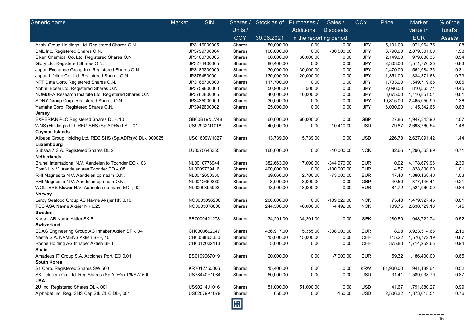| Generic name                                               | <b>ISIN</b><br>Market | Shares /   | Stock as of Purchases / |                         | Sales /          | <b>CCY</b> | Price     | Market                | % of the      |
|------------------------------------------------------------|-----------------------|------------|-------------------------|-------------------------|------------------|------------|-----------|-----------------------|---------------|
|                                                            |                       | Units /    |                         | <b>Additions</b>        | <b>Disposals</b> |            |           | value in              | fund's        |
|                                                            |                       | <b>CCY</b> | 30.06.2021              | in the reporting period |                  |            |           | <b>EUR</b>            | <b>Assets</b> |
| Asahi Group Holdings Ltd. Registered Shares O.N.           | JP3116000005          | Shares     | 50,000.00               | 0.00                    | 0.00             | <b>JPY</b> | 5,191.00  | 1,971,964.75          | 1.08          |
| BML Inc. Registered Shares O.N.                            | JP3799700004          | Shares     | 100,000.00              | 0.00                    | $-30,500.00$     | <b>JPY</b> | 3,790.00  | 2,879,501.60          | 1.58          |
| Eiken Chemical Co. Ltd. Registered Shares O.N.             | JP3160700005          | Shares     | 60,000.00               | 60,000.00               | 0.00             | JPY        | 2,149.00  | 979,638.35            | 0.54          |
| Glory Ltd. Registered Shares O.N.                          | JP3274400005          | Shares     | 86,400.00               | 0.00                    | 0.00             | JPY        | 2,303.00  | 1,511,770.25          | 0.83          |
| Japan Exchange Group Inc. Registered Shares O.N.           | JP3183200009          | Shares     | 30,000.00               | 30,000.00               | 0.00             | JPY        | 2,470.00  | 562,984.35            | 0.31          |
| Japan Lifeline Co. Ltd. Registered Shares O.N.             | JP3754500001          | Shares     | 130,000.00              | 20,000.00               | 0.00             | JPY        | 1,351.00  | 1,334,371.68          | 0.73          |
| NTT Data Corp. Registered Shares O.N.                      | JP3165700000          | Shares     | 117,700.00              | 0.00                    | 0.00             | <b>JPY</b> | 1,733.00  | 1,549,719.65          | 0.85          |
| Nohmi Bosai Ltd. Registered Shares O.N.                    | JP3759800000          | Shares     | 50,900.00               | 500.00                  | 0.00             | JPY        | 2,096.00  | 810,563.74            | 0.45          |
| NOMURA Research Institute Ltd. Registered Shares O.N.      | JP3762800005          | Shares     | 40,000.00               | 40,000.00               | 0.00             | JPY        | 3,675.00  | 1,116,851.54          | 0.61          |
| SONY Group Corp. Registered Shares O.N.                    | JP3435000009          | Shares     | 30,000.00               | 0.00                    | 0.00             | JPY        | 10,815.00 | 2,465,050.90          | 1.36          |
| Yamaha Corp. Registered Shares O.N.                        | JP3942600002          | Shares     | 25,000.00               | 0.00                    | 0.00             | <b>JPY</b> | 6,030.00  | 1,145,342.65          | 0.63          |
| Jersey                                                     |                       |            |                         |                         |                  |            |           |                       |               |
| <b>EXPERIAN PLC Registered Shares DL-, 10</b>              | GB00B19NLV48          | Shares     | 60,000.00               | 60,000.00               | 0.00             | <b>GBP</b> | 27.86     | 1,947,343.90          | 1.07          |
| WNS (Holdings) Ltd. REG.SHS (Sp.ADRs) LS-, 01              | US92932M1018          | Shares     | 40,000.00               | 0.00                    | $-10,410.00$     | <b>USD</b> | 79.87     | 2,693,760.54          | 1.48          |
| Cayman Islands                                             |                       |            |                         |                         |                  |            |           |                       |               |
| Alibaba Group Holding Ltd. REG.SHS (Sp.ADRs)/8 DL-, 000025 | US01609W1027          | Shares     | 13,739.00               | 5,739.00                | 0.00             | <b>USD</b> | 226.78    | 2,627,091.42          | 1.44          |
| Luxembourg                                                 |                       |            |                         |                         |                  |            |           |                       |               |
| Subsea 7 S.A. Registered Shares DL 2                       | LU0075646355          | Shares     | 160,000.00              | 0.00                    | $-40,000.00$     | <b>NOK</b> | 82.66     | 1,296,563.89          | 0.71          |
| <b>Netherlands</b>                                         |                       |            |                         |                         |                  |            |           |                       |               |
| Brunel International N.V. Aandelen to Toonder EO -, 03     | NL0010776944          | Shares     | 382,663.00              | 17,000.00               | $-344,970.00$    | EUR        |           | 10.92 4,178,679.96    | 2.30          |
| PostNL N.V. Aandelen aan Toonder EO -, 08                  | NL0009739416          | Shares     | 400,000.00              | 0.00                    | $-100,000.00$    | EUR        | 4.57      | 1,828,800.00          | 1.01          |
| RHI Magnesita N.V. Aandelen op naam O.N.                   | NL0012650360          | Shares     | 39,666.00               | 2,700.00                | $-73,000.00$     | EUR        |           | 47.40 1,880,168.40    | 1.03          |
| RHI Magnesita N.V. Aandelen op naam O.N.                   | NL0012650360          | Shares     | 8,000.00                | 8,000.00                | 0.00             | <b>GBP</b> | 40.50     | 377,446.41            | 0.21          |
| WOLTERS Kluwer N.V. Aandelen op naam EO -, 12              | NL0000395903          | Shares     | 18,000.00               | 18,000.00               | 0.00             | <b>EUR</b> |           | 84.72 1,524,960.00    | 0.84          |
| Norway                                                     |                       |            |                         |                         |                  |            |           |                       |               |
| Leroy Seafood Group AS Navne Aksjer NK 0.10                | NO0003096208          | Shares     | 200,000.00              | 0.00                    | -189,829.00      | <b>NOK</b> | 75.48     | 1,479,927.45          | 0.81          |
| TGS ASA Navne Aksjer NK 0.25                               | NO0003078800          | Shares     | 244,508.00              | 46,000.00               | $-4,492.00$      | <b>NOK</b> | 109.75    | 2,630,729.18          | 1.45          |
| Sweden                                                     |                       |            |                         |                         |                  |            |           |                       |               |
| Knowit AB Namn Aktier SK 5                                 | SE0000421273          | Shares     | 34,291.00               | 34,291.00               | 0.00             | <b>SEK</b> | 280.50    | 948,722.74            | 0.52          |
| Switzerland                                                |                       |            |                         |                         |                  |            |           |                       |               |
| EDAG Engineering Group AG Inhaber Aktien SF-, 04           | CH0303692047          | Shares     | 436,917.00              | 15,355.00               | $-308,000.00$    | EUR        | 8.98      | 3,923,514.66          | 2.16          |
| Nestlé S.A. NAMENS Aktien SF -, 10                         | CH0038863350          | Shares     | 15,000.00               | 15,000.00               | 0.00             | <b>CHF</b> | 115.22    | 1,576,772.19          | 0.87          |
| Roche Holding AG Inhaber Aktien SF 1                       | CH0012032113          | Shares     | 5,000.00                | 0.00                    | 0.00             | <b>CHF</b> | 375.80    | 1,714,259.65          | 0.94          |
| Spain                                                      |                       |            |                         |                         |                  |            |           |                       |               |
| Amadeus IT Group S.A. Acciones Port. EO 0.01               | ES0109067019          | Shares     | 20,000.00               | 0.00                    | $-7,000.00$      | <b>EUR</b> |           | 59.32 1,186,400.00    | 0.65          |
| <b>South Korea</b>                                         |                       |            |                         |                         |                  |            |           |                       |               |
| S1 Corp. Registered Shares SW 500                          | KR7012750006          | Shares     | 15,400.00               | 0.00                    | 0.00             | <b>KRW</b> | 81,900.00 | 941,189.64            | 0.52          |
| SK Telecom Co. Ltd. Reg.Shares (Sp.ADRs) 1/9/SW 500        | US78440P1084          | Shares     | 60,000.00               | 0.00                    | 0.00             | <b>USD</b> | 31.41     | 1,589,038.79          | 0.87          |
| <b>USA</b>                                                 |                       |            |                         |                         |                  |            |           |                       |               |
| 2U Inc. Registered Shares DL -, 001                        | US90214J1016          | Shares     | 51,000.00               | 51,000.00               | 0.00             | <b>USD</b> | 41.67     | 1,791,880.27          | 0.99          |
| Alphabet Inc. Reg. SHS Cap.Stk Cl. C DL-, 001              | US02079K1079          | Shares     | 650.00                  | 0.00                    | $-150.00$        | <b>USD</b> |           | 2,506.32 1,373,615.51 | 0.76          |
|                                                            |                       |            |                         |                         |                  |            |           |                       |               |
|                                                            |                       | 冏          |                         |                         |                  |            |           |                       |               |
|                                                            |                       |            |                         |                         |                  |            |           |                       |               |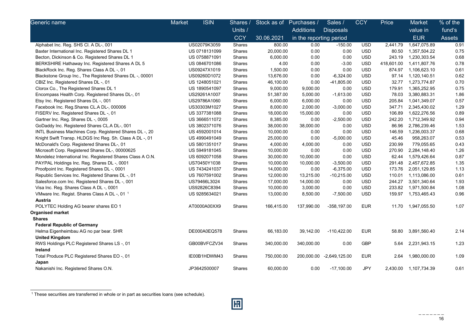| Generic name                                               | Market | <b>ISIN</b>   | Shares /      | Stock as of Purchases / |                         | Sales /          | <b>CCY</b> | Price      | Market                | % of the |
|------------------------------------------------------------|--------|---------------|---------------|-------------------------|-------------------------|------------------|------------|------------|-----------------------|----------|
|                                                            |        |               | Units /       |                         | <b>Additions</b>        | <b>Disposals</b> |            |            | value in              | fund's   |
|                                                            |        |               | <b>CCY</b>    | 30.06.2021              | in the reporting period |                  |            |            | <b>EUR</b>            | Assets   |
| Alphabet Inc. Reg. SHS Cl. A DL-, 001                      |        | US02079K3059  | Shares        | 800.00                  | 0.00                    | $-150.00$        | <b>USD</b> | 2,441.79   | 1,647,075.89          | 0.91     |
| Baxter International Inc. Registered Shares DL 1           |        | US 0718131099 | Shares        | 20,000.00               | 0.00                    | 0.00             | <b>USD</b> | 80.50      | 1,357,504.22          | 0.75     |
| Becton, Dickinson & Co. Registered Shares DL 1             |        | US 0758871091 | Shares        | 6,000.00                | 0.00                    | 0.00             | <b>USD</b> | 243.19     | 1,230,303.54          | 0.68     |
| BERKSHIRE Hathaway Inc. Registered Shares A DL 5           |        | US 0846701086 | Shares        | 4.00                    | 0.00                    | $-3.00$          | <b>USD</b> | 418,601.00 | 1,411,807.76          | 0.78     |
| BlackRock Inc. Reg. Shares Class A DL -, 01                |        | US09247X1019  | Shares        | 1,500.00                | 0.00                    | 0.00             | <b>USD</b> | 874.97     | 1,106,623.10          | 0.61     |
| Blackstone Group Inc., The Registered Shares DL -, 00001   |        | US09260D1072  | Shares        | 13,676.00               | 0.00                    | $-6,324.00$      | <b>USD</b> | 97.14      | 1,120,140.51          | 0.62     |
| CBIZ Inc. Registered Shares DL -, 01                       |        | US 1248051021 | Shares        | 46,100.00               | 0.00                    | -41,805.00       | <b>USD</b> | 32.77      | 1,273,774.87          | 0.70     |
| Clorox Co., The Registered Shares DL 1                     |        | US 1890541097 | Shares        | 9,000.00                | 9,000.00                | 0.00             | <b>USD</b> | 179.91     | 1,365,252.95          | 0.75     |
| Encompass Health Corp. Registered Shares DL-, 01           |        | US29261A1007  | Shares        | 51,387.00               | 5,000.00                | $-1,613.00$      | <b>USD</b> | 78.03      | 3,380,883.31          | 1.86     |
| Etsy Inc. Registered Shares DL -, 001                      |        | US29786A1060  | Shares        | 6,000.00                | 6,000.00                | 0.00             | <b>USD</b> | 205.84     | 1,041,349.07          | 0.57     |
| Facebook Inc. Reg.Shares CL.A DL-, 000006                  |        | US30303M1027  | Shares        | 8,000.00                | 2,000.00                | $-3,000.00$      | <b>USD</b> | 347.71     | 2,345,430.02          | 1.29     |
| FISERV Inc. Registered Shares DL -, 01                     |        | US 3377381088 | Shares        | 18,000.00               | 15,000.00               | 0.00             | <b>USD</b> | 106.89     | 1,622,276.56          | 0.89     |
| Gartner Inc. Reg. Shares DL -, 0005                        |        | US 3666511072 | Shares        | 8,385.00                | 0.00                    | $-2,500.00$      | <b>USD</b> | 242.20     | 1,712,349.92          | 0.94     |
| GoDaddy Inc. Registered Shares CL.A DL-, 001               |        | US 3802371076 | Shares        | 38,000.00               | 38,000.00               | 0.00             | <b>USD</b> | 86.96      | 2,786,239.46          | 1.53     |
| INTL Business Machines Corp. Registered Shares DL -, 20    |        | US 4592001014 | Shares        | 10,000.00               | 0.00                    | 0.00             | <b>USD</b> | 146.59     | 1,236,003.37          | 0.68     |
| Knight Swift Transp. HLDGS Inc Reg. Sh. Class A DL -, 01   |        | US 4990491049 | Shares        | 25,000.00               | 0.00                    | $-5,000.00$      | <b>USD</b> | 45.46      | 958,263.07            | 0.53     |
| McDonald's Corp. Registered Shares DL-, 01                 |        | US 5801351017 | Shares        | 4,000.00                | 4,000.00                | 0.00             | <b>USD</b> | 230.99     | 779,055.65            | 0.43     |
| Microsoft Corp. Registered Shares DL-, 00000625            |        | US 5949181045 | Shares        | 10,000.00               | 0.00                    | 0.00             | <b>USD</b> | 270.90     | 2,284,148.40          | 1.26     |
| Mondelez International Inc. Registered Shares Class A O.N. |        | US 6092071058 | Shares        | 30,000.00               | 10,000.00               | 0.00             | <b>USD</b> | 62.44      | 1,579,426.64          | 0.87     |
| PAYPAL Holdings Inc. Reg. Shares DL -, 0001                |        | US70450Y1038  | Shares        | 10,000.00               | 10,000.00               | $-3,500.00$      | <b>USD</b> | 291.48     | 2,457,672.85          | 1.35     |
| Proofpoint Inc. Registered Shares DL -, 0001               |        | US 7434241037 | Shares        | 14,000.00               | 0.00                    | $-6,375.00$      | <b>USD</b> | 173.76     | 2,051,129.85          | 1.13     |
| Republic Services Inc. Registered Shares DL -, 01          |        | US 7607591002 | Shares        | 12,000.00               | 13,215.00               | $-10,215.00$     | <b>USD</b> | 110.01     | 1,113,086.00          | 0.61     |
| Salesforce.com Inc. Registered Shares DL -, 001            |        | US79466L3024  | Shares        | 17,000.00               | 14,000.00               | 0.00             | <b>USD</b> | 244.27     | 3,501,340.64          | 1.93     |
| Visa Inc. Reg. Shares Class A DL -, 0001                   |        | US92826C8394  | Shares        | 10,000.00               | 3,000.00                | 0.00             | <b>USD</b> | 233.82     | 1,971,500.84          | 1.08     |
| VMware Inc. Regist. Shares Class A DL -, 01 <sup>1</sup>   |        | US 9285634021 | Shares        | 13,000.00               | 8,500.00                | $-7,500.00$      | <b>USD</b> | 159.97     | 1,753,465.43          | 0.96     |
| Austria                                                    |        |               |               |                         |                         |                  |            |            |                       |          |
| POLYTEC Holding AG bearer shares EO 1                      |        | AT0000A00XX9  | Shares        | 166,415.00              | 137,990.00              | $-358, 197.00$   | <b>EUR</b> |            | 11.70  1,947,055.50   | 1.07     |
| <b>Organised market</b>                                    |        |               |               |                         |                         |                  |            |            |                       |          |
| <b>Shares</b>                                              |        |               |               |                         |                         |                  |            |            |                       |          |
| <b>Federal Republic of Germany</b>                         |        |               |               |                         |                         |                  |            |            |                       |          |
| Helma Eigenheimbau AG no par bear. SHR                     |        | DE000A0EQ578  | Shares        | 66,183.00               | 39,142.00               | $-110,422.00$    | <b>EUR</b> | 58.80      | 3,891,560.40          | 2.14     |
| <b>United Kingdom</b>                                      |        |               |               |                         |                         |                  |            |            |                       |          |
| RWS Holdings PLC Registered Shares LS-, 01                 |        | GB00BVFCZV34  | Shares        | 340,000.00              | 340,000.00              | 0.00             | <b>GBP</b> | 5.64       | 2,231,943.15          | 1.23     |
| Ireland                                                    |        |               |               |                         |                         |                  |            |            |                       |          |
| Total Produce PLC Registered Shares EO -, 01<br>Japan      |        | IE00B1HDWM43  | Shares        | 750,000.00              | 200,000.00              | $-2,649,125.00$  | <b>EUR</b> | 2.64       | 1,980,000.00          | 1.09     |
| Nakanishi Inc. Registered Shares O.N.                      |        | JP3642500007  | <b>Shares</b> | 60,000.00               | 0.00                    | $-17,100.00$     | <b>JPY</b> |            | 2,430.00 1,107,734.39 | 0.61     |

<sup>1</sup> These securities are transferred in whole or in part as securities loans (see schedule).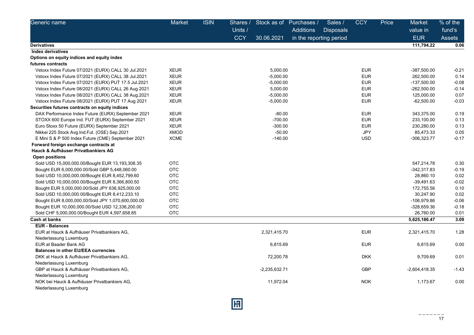| Generic name                                         | Market      | <b>ISIN</b> | Shares /   |                 | Stock as of Purchases / | Sales /          | <b>CCY</b> | Price | Market          | % of the      |
|------------------------------------------------------|-------------|-------------|------------|-----------------|-------------------------|------------------|------------|-------|-----------------|---------------|
|                                                      |             |             | Units /    |                 | <b>Additions</b>        | <b>Disposals</b> |            |       | value in        | fund's        |
|                                                      |             |             | <b>CCY</b> | 30.06.2021      | in the reporting period |                  |            |       | <b>EUR</b>      | <b>Assets</b> |
| <b>Derivatives</b>                                   |             |             |            |                 |                         |                  |            |       | 111,794.22      | 0.06          |
| <b>Index derivatives</b>                             |             |             |            |                 |                         |                  |            |       |                 |               |
| Options on equity indices and equity index           |             |             |            |                 |                         |                  |            |       |                 |               |
| futures contracts                                    |             |             |            |                 |                         |                  |            |       |                 |               |
| Vstoxx Index Future 07/2021 (EURX) CALL 30 Jul.2021  | <b>XEUR</b> |             |            | 5,000.00        |                         |                  | <b>EUR</b> |       | -387,500.00     | $-0.21$       |
| Vstoxx Index Future 07/2021 (EURX) CALL 38 Jul.2021  | <b>XEUR</b> |             |            | $-5,000.00$     |                         |                  | <b>EUR</b> |       | 262,500.00      | 0.14          |
| Vstoxx Index Future 07/2021 (EURX) PUT 17.5 Jul.2021 | <b>XEUR</b> |             |            | $-5,000.00$     |                         |                  | <b>EUR</b> |       | -137,500.00     | $-0.08$       |
| Vstoxx Index Future 08/2021 (EURX) CALL 26 Aug 2021  | <b>XEUR</b> |             |            | 5,000.00        |                         |                  | <b>EUR</b> |       | $-262,500.00$   | $-0.14$       |
| Vstoxx Index Future 08/2021 (EURX) CALL 38 Aug.2021  | <b>XEUR</b> |             |            | $-5,000.00$     |                         |                  | <b>EUR</b> |       | 125,000.00      | 0.07          |
| Vstoxx Index Future 08/2021 (EURX) PUT 17 Aug 2021   | <b>XEUR</b> |             |            | $-5,000.00$     |                         |                  | <b>EUR</b> |       | $-62,500.00$    | $-0.03$       |
| Securities futures contracts on equity indices       |             |             |            |                 |                         |                  |            |       |                 |               |
| DAX Performance Index Future (EURX) September 2021   | <b>XEUR</b> |             |            | $-80.00$        |                         |                  | <b>EUR</b> |       | 343,375.00      | 0.19          |
| STOXX 600 Europe Ind. FUT (EURX) September 2021      | <b>XEUR</b> |             |            | $-700.00$       |                         |                  | <b>EUR</b> |       | 233,100.00      | 0.13          |
| Euro Stoxx 50 Future (EURX) September 2021           | <b>XEUR</b> |             |            | $-300.00$       |                         |                  | <b>EUR</b> |       | 230,280.00      | 0.13          |
| Nikkei 225 Stock Avg.Ind.Fut. (OSE) Sep.2021         | <b>XMOD</b> |             |            | $-50.00$        |                         |                  | <b>JPY</b> |       | 85,473.33       | 0.05          |
| E Mini S & P 500 Index Future (CME) September 2021   | XCME        |             |            | $-140.00$       |                         |                  | <b>USD</b> |       | -306,323.77     | $-0.17$       |
| Forward foreign exchange contracts at                |             |             |            |                 |                         |                  |            |       |                 |               |
| Hauck & Aufhäuser Privatbankiers AG                  |             |             |            |                 |                         |                  |            |       |                 |               |
| <b>Open positions</b>                                |             |             |            |                 |                         |                  |            |       |                 |               |
| Sold USD 15,000,000.00/Bought EUR 13,193,308.35      | <b>OTC</b>  |             |            |                 |                         |                  |            |       | 547,214.78      | 0.30          |
| Bought EUR 6,000,000.00/Sold GBP 5,448,060.00        | <b>OTC</b>  |             |            |                 |                         |                  |            |       | -342,317.83     | $-0.19$       |
| Sold USD 10,000,000.00/Bought EUR 8,452,799.60       | <b>OTC</b>  |             |            |                 |                         |                  |            |       | 28,860.10       | 0.02          |
| Sold USD 10,000,000.00/Bought EUR 8,366,800.50       | <b>OTC</b>  |             |            |                 |                         |                  |            |       | $-39,491.63$    | $-0.02$       |
| Bought EUR 5,000,000.00/Sold JPY 636,925,000.00      | <b>OTC</b>  |             |            |                 |                         |                  |            |       | 172,755.56      | 0.10          |
| Sold USD 10,000,000.00/Bought EUR 8,412,233.10       | <b>OTC</b>  |             |            |                 |                         |                  |            |       | 30,247.90       | 0.02          |
| Bought EUR 8,000,000.00/Sold JPY 1,070,600,000.00    | OTC         |             |            |                 |                         |                  |            |       | -106,979.86     | $-0.06$       |
| Bought EUR 10,000,000.00/Sold USD 12,336,200.00      | <b>OTC</b>  |             |            |                 |                         |                  |            |       | -328,659.36     | $-0.18$       |
| Sold CHF 5,000,000.00/Bought EUR 4,597,658.85        | <b>OTC</b>  |             |            |                 |                         |                  |            |       | 26,760.00       | 0.01          |
| Cash at banks                                        |             |             |            |                 |                         |                  |            |       | 5,625,186.47    | 3.09          |
| <b>EUR - Balances</b>                                |             |             |            |                 |                         |                  |            |       |                 |               |
| EUR at Hauck & Aufhäuser Privatbankiers AG.          |             |             |            | 2,321,415.70    |                         |                  | <b>EUR</b> |       | 2,321,415.70    | 1.28          |
| Niederlassung Luxemburg                              |             |             |            |                 |                         |                  |            |       |                 |               |
| EUR at Baader Bank AG                                |             |             |            | 6,815.69        |                         |                  | <b>EUR</b> |       | 6,815.69        | 0.00          |
| <b>Balances in other EU/EEA currencies</b>           |             |             |            |                 |                         |                  |            |       |                 |               |
| DKK at Hauck & Aufhäuser Privatbankiers AG,          |             |             |            | 72,200.78       |                         |                  | <b>DKK</b> |       | 9,709.69        | 0.01          |
| Niederlassung Luxemburg                              |             |             |            |                 |                         |                  |            |       |                 |               |
| GBP at Hauck & Aufhäuser Privatbankiers AG,          |             |             |            | $-2,235,632.71$ |                         |                  | <b>GBP</b> |       | $-2,604,418.35$ | $-1.43$       |
| Niederlassung Luxemburg                              |             |             |            |                 |                         |                  |            |       |                 |               |
| NOK bei Hauck & Aufhäuser Privatbankiers AG,         |             |             |            | 11,972.04       |                         |                  | <b>NOK</b> |       | 1,173.67        | 0.00          |
| Niederlassung Luxemburg                              |             |             |            |                 |                         |                  |            |       |                 |               |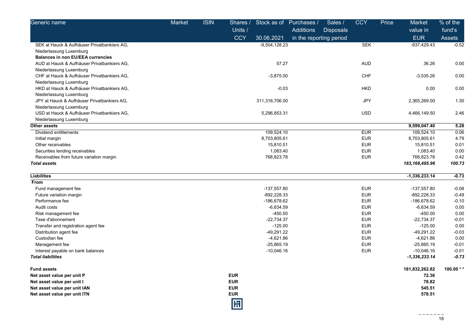| Generic name                                | <b>Market</b> | <b>ISIN</b> | Shares /   | Stock as of Purchases / |                         | Sales /          | <b>CCY</b> | Price | Market           | % of the      |
|---------------------------------------------|---------------|-------------|------------|-------------------------|-------------------------|------------------|------------|-------|------------------|---------------|
|                                             |               |             | Units /    |                         | Additions               | <b>Disposals</b> |            |       | value in         | fund's        |
|                                             |               |             | <b>CCY</b> | 30.06.2021              | in the reporting period |                  |            |       | <b>EUR</b>       | <b>Assets</b> |
| SEK at Hauck & Aufhäuser Privatbankiers AG, |               |             |            | $-9,504,128.23$         |                         |                  | <b>SEK</b> |       | -937,429.43      | $-0.52$       |
| Niederlassung Luxemburg                     |               |             |            |                         |                         |                  |            |       |                  |               |
| <b>Balances in non EU/EEA currencies</b>    |               |             |            |                         |                         |                  |            |       |                  |               |
| AUD at Hauck & Aufhäuser Privatbankiers AG, |               |             |            | 57.27                   |                         |                  | <b>AUD</b> |       | 36.26            | 0.00          |
| Niederlassung Luxemburg                     |               |             |            |                         |                         |                  |            |       |                  |               |
| CHF at Hauck & Aufhäuser Privatbankiers AG, |               |             |            | $-3,875.00$             |                         |                  | CHF        |       | $-3,535.26$      | 0.00          |
| Niederlassung Luxemburg                     |               |             |            |                         |                         |                  |            |       |                  |               |
| HKD at Hauck & Aufhäuser Privatbankiers AG, |               |             |            | $-0.03$                 |                         |                  | <b>HKD</b> |       | 0.00             | 0.00          |
| Niederlassung Luxemburg                     |               |             |            |                         |                         |                  |            |       |                  |               |
| JPY at Hauck & Aufhäuser Privatbankiers AG, |               |             |            | 311,316,706.00          |                         |                  | <b>JPY</b> |       | 2,365,269.00     | 1.30          |
| Niederlassung Luxemburg                     |               |             |            |                         |                         |                  |            |       |                  |               |
| USD at Hauck & Aufhäuser Privatbankiers AG, |               |             |            | 5,296,853.31            |                         |                  | <b>USD</b> |       | 4,466,149.50     | 2.46          |
| Niederlassung Luxemburg                     |               |             |            |                         |                         |                  |            |       |                  |               |
| Other assets                                |               |             |            |                         |                         |                  |            |       | 9,599,047.40     | 5.28          |
| Dividend entitlements                       |               |             |            | 109,524.10              |                         |                  | <b>EUR</b> |       | 109,524.10       | 0.06          |
| Initial margin                              |               |             |            | 8,703,805.61            |                         |                  | <b>EUR</b> |       | 8,703,805.61     | 4.79          |
| Other receivables                           |               |             |            | 15,810.51               |                         |                  | <b>EUR</b> |       | 15,810.51        | 0.01          |
| Securities lending receivables              |               |             |            | 1,083.40                |                         |                  | <b>EUR</b> |       | 1,083.40         | 0.00          |
| Receivables from future variation margin    |               |             |            | 768,823.78              |                         |                  | <b>EUR</b> |       | 768,823.78       | 0.42          |
| <b>Total assets</b>                         |               |             |            |                         |                         |                  |            |       | 183, 168, 495.96 | 100.73        |
| <b>Liabilities</b>                          |               |             |            |                         |                         |                  |            |       | $-1,336,233.14$  | $-0.73$       |
| From                                        |               |             |            |                         |                         |                  |            |       |                  |               |
| Fund management fee                         |               |             |            | $-137,557.80$           |                         |                  | <b>EUR</b> |       | $-137,557.80$    | $-0.08$       |
| Future variation margin                     |               |             |            | $-892,228.33$           |                         |                  | <b>EUR</b> |       | -892,228.33      | $-0.49$       |
| Performance fee                             |               |             |            | -186,678.62             |                         |                  | <b>EUR</b> |       | -186,678.62      | $-0.10$       |
| Audit costs                                 |               |             |            | $-6,634.59$             |                         |                  | <b>EUR</b> |       | $-6,634.59$      | 0.00          |
| Risk management fee                         |               |             |            | $-450.00$               |                         |                  | <b>EUR</b> |       | $-450.00$        | 0.00          |
| Taxe d'abonnement                           |               |             |            | $-22,734.37$            |                         |                  | <b>EUR</b> |       | $-22,734.37$     | $-0.01$       |
| Transfer and registration agent fee         |               |             |            | $-125.00$               |                         |                  | <b>EUR</b> |       | $-125.00$        | 0.00          |
| Distribution agent fee                      |               |             |            | $-49,291.22$            |                         |                  | <b>EUR</b> |       | $-49,291.22$     | $-0.03$       |
| Custodian fee                               |               |             |            | $-4,621.86$             |                         |                  | <b>EUR</b> |       | $-4,621.86$      | 0.00          |
| Management fee                              |               |             |            | $-25,865.19$            |                         |                  | <b>EUR</b> |       | $-25,865.19$     | $-0.01$       |
| Interest payable on bank balances           |               |             |            | $-10,046.16$            |                         |                  | <b>EUR</b> |       | $-10,046.16$     | $-0.01$       |
| <b>Total liabilities</b>                    |               |             |            |                         |                         |                  |            |       | $-1,336,233.14$  | -0.73         |
| <b>Fund assets</b>                          |               |             |            |                         |                         |                  |            |       | 181,832,262.82   | 100.00 $*$    |
| Net asset value per unit P                  |               |             | <b>EUR</b> |                         |                         |                  |            |       | 72.36            |               |
| Net asset value per unit I                  |               |             | <b>EUR</b> |                         |                         |                  |            |       | 78.82            |               |
| Net asset value per unit IAN                |               |             | <b>EUR</b> |                         |                         |                  |            |       | 545.51           |               |
| Net asset value per unit ITN                |               |             | <b>EUR</b> |                         |                         |                  |            |       | 578.51           |               |
|                                             |               |             | 冏          |                         |                         |                  |            |       |                  |               |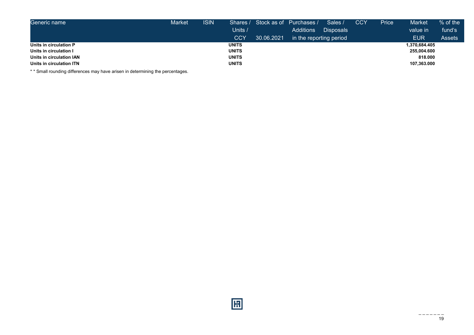| Generic name             | <b>Market</b> | <b>ISIN</b> | Shares /     |            | Stock as of Purchases / | Sales /          | <b>CCY</b> | Price | <b>Market</b> | $%$ of the    |
|--------------------------|---------------|-------------|--------------|------------|-------------------------|------------------|------------|-------|---------------|---------------|
|                          |               |             | Units /      |            | <b>Additions</b>        | <b>Disposals</b> |            |       | value in      | fund's        |
|                          |               |             | <b>CCY</b>   | 30.06.2021 | in the reporting period |                  |            |       | <b>EUR</b>    | <b>Assets</b> |
| Units in circulation P   |               |             | <b>UNITS</b> |            |                         |                  |            |       | 1.370.684.405 |               |
| Units in circulation I   |               |             | <b>UNITS</b> |            |                         |                  |            |       | 255,004.600   |               |
| Units in circulation IAN |               |             | <b>UNITS</b> |            |                         |                  |            |       | 818,000       |               |
| Units in circulation ITN |               |             | <b>UNITS</b> |            |                         |                  |            |       | 107,363.000   |               |

\* \* Small rounding differences may have arisen in determining the percentages.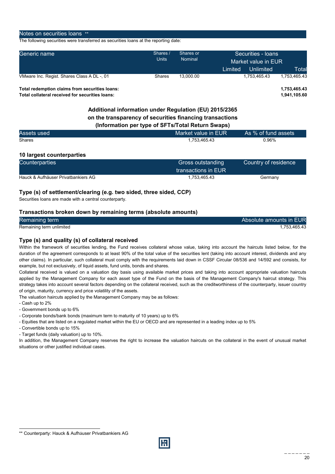#### Notes on securities loans \*\*

The following securities were transferred as securities loans at the reporting date:

| Generic name                                   | Shares /<br><b>Units</b> | Shares or<br>Nominal | Securities - Ioans<br>Market value in EUR<br>Unlimited<br>Limited | Total        |  |
|------------------------------------------------|--------------------------|----------------------|-------------------------------------------------------------------|--------------|--|
| VMware Inc. Regist. Shares Class A DL -, 01    | <b>Shares</b>            | 13.000.00            | 1.753.465.43                                                      | 1.753.465.43 |  |
| Total redemption claims from securities loans: |                          |                      |                                                                   | 1.753.465.43 |  |

Total collateral received for securities loans: 1,941,105.60

## Additional information under Regulation (EU) 2015/2365 on the transparency of securities financing transactions (Information per type of SFTs/Total Return Swaps)

| Assets used | Market value in EUR | As % of fund assets |
|-------------|---------------------|---------------------|
| Shares      | 1.753.465.43        | 0.96%               |

## 10 largest counterparties

| <b>Counterparties</b>               | Gross outstanding   | Country of residence |
|-------------------------------------|---------------------|----------------------|
|                                     | transactions in EUR |                      |
| Hauck & Aufhäuser Privatbankiers AG | 1.753.465.43        | Germany              |

## Type (s) of settlement/clearing (e.g. two sided, three sided, CCP)

Securities loans are made with a central counterparty.

### Transactions broken down by remaining terms (absolute amounts)

| Remaining term           | Absolute amounts in EUR |
|--------------------------|-------------------------|
| Remaining term unlimited | 1.753.465.43            |

## Type (s) and quality (s) of collateral received

Within the framework of securities lending, the Fund receives collateral whose value, taking into account the haircuts listed below, for the duration of the agreement corresponds to at least 90% of the total value of the securities lent (taking into account interest, dividends and any other claims). In particular, such collateral must comply with the requirements laid down in CSSF Circular 08/536 and 14/592 and consists, for example, but not exclusively, of liquid assets, fund units, bonds and shares.

Collateral received is valued on a valuation day basis using available market prices and taking into account appropriate valuation haircuts applied by the Management Company for each asset type of the Fund on the basis of the Management Company's haircut strategy. This strategy takes into account several factors depending on the collateral received, such as the creditworthiness of the counterparty, issuer country of origin, maturity, currency and price volatility of the assets.

The valuation haircuts applied by the Management Company may be as follows:

- Cash up to 2%

l

- Government bonds up to 6%
- Corporate bonds/bank bonds (maximum term to maturity of 10 years) up to 6%
- Equities that are listed on a regulated market within the EU or OECD and are represented in a leading index up to 5%
- Convertible bonds up to 15%
- Target funds (daily valuation) up to 10%.

In addition, the Management Company reserves the right to increase the valuation haircuts on the collateral in the event of unusual market situations or other justified individual cases.



<sup>\*\*</sup> Counterparty: Hauck & Aufhäuser Privatbankiers AG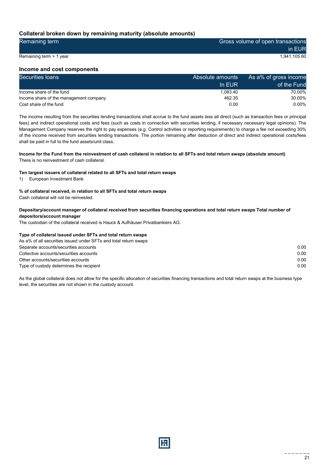## Collateral broken down by remaining maturity (absolute amounts)

| Remaining term          | Gross volume of open transactions |
|-------------------------|-----------------------------------|
|                         | in EUR                            |
| Remaining term > 1 year | 1.941.105.60                      |

### Income and cost components

| Securities loans                       | Absolute amounts | As a% of gross income |
|----------------------------------------|------------------|-----------------------|
|                                        | In EUR           | of the Fund           |
| Income share of the fund               | 1.083.40         | 70.00%                |
| Income share of the management company | 462.35           | 30.00%                |
| Cost share of the fund                 | 0.00             | $0.00\%$              |

The income resulting from the securities lending transactions shall accrue to the fund assets less all direct (such as transaction fees or principal fees) and indirect operational costs and fees (such as costs in connection with securities lending, if necessary necessary legal opinions). The Management Company reserves the right to pay expenses (e.g. Control activities or reporting requirements) to charge a fee not exceeding 30% of the income received from securities lending transactions. The portion remaining after deduction of direct and indirect operational costs/fees shall be paid in full to the fund assets/unit class.

## Income for the Fund from the reinvestment of cash collateral in relation to all SFTs and total return swaps (absolute amount)

There is no reinvestment of cash collateral.

#### Ten largest issuers of collateral related to all SFTs and total return swaps

1) European Investment Bank

#### % of collateral received, in relation to all SFTs and total return swaps

Cash collateral will not be reinvested.

#### Depositary/account manager of collateral received from securities financing operations and total return swaps Total number of depositors/account manager

The custodian of the collateral received is Hauck & Aufhäuser Privatbankiers AG.

#### Type of collateral issued under SFTs and total return swaps

| As a% of all securities issued under SFTs and total return swaps |      |
|------------------------------------------------------------------|------|
| Separate accounts/securities accounts                            | 0.00 |
| Collective accounts/securities accounts                          | 0.00 |
| Other accounts/securities accounts                               | 0.00 |
| Type of custody determines the recipient                         | 0.00 |

As the global collateral does not allow for the specific allocation of securities financing transactions and total return swaps at the business type level, the securities are not shown in the custody account.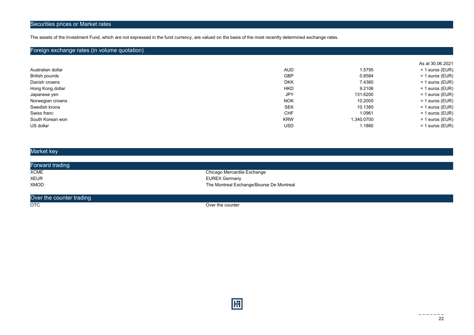The assets of the Investment Fund, which are not expressed in the fund currency, are valued on the basis of the most recently determined exchange rates.

## Foreign exchange rates (in volume quotation)

|                   |            |            | As at 30.06.2021  |
|-------------------|------------|------------|-------------------|
| Australian dollar | AUD.       | 1.5795     | $= 1$ euros (EUR) |
| British pounds    | <b>GBP</b> | 0.8584     | $= 1$ euros (EUR) |
| Danish crowns     | <b>DKK</b> | 7.4360     | $= 1$ euros (EUR) |
| Hong Kong dollar  | <b>HKD</b> | 9.2106     | $= 1$ euros (EUR) |
| Japanese yen      | JPY        | 131.6200   | $= 1$ euros (EUR) |
| Norwegian crowns  | <b>NOK</b> | 10.2005    | $= 1$ euros (EUR) |
| Swedish krona     | <b>SEK</b> | 10.1385    | $= 1$ euros (EUR) |
| Swiss franc       | <b>CHF</b> | 1.0961     | $= 1$ euros (EUR) |
| South Korean won  | <b>KRW</b> | 1,340.0700 | $= 1$ euros (EUR) |
| US dollar         | <b>USD</b> | 1.1860     | $= 1$ euros (EUR) |

## Market key

| Forward trading |                                          |
|-----------------|------------------------------------------|
| <b>XCME</b>     | Chicago Mercantile Exchange              |
| <b>XEUR</b>     | <b>EUREX Germany</b>                     |
| <b>XMOD</b>     | The Montreal Exchange/Bourse De Montreal |

#### Over the counter trading

OTC OTC CONTROL CONTROL CONTROL CONTROL CONTROL CONTROL CONTROL CONTROL CONTROL CONTROL CONTROL CONTROL CONTROL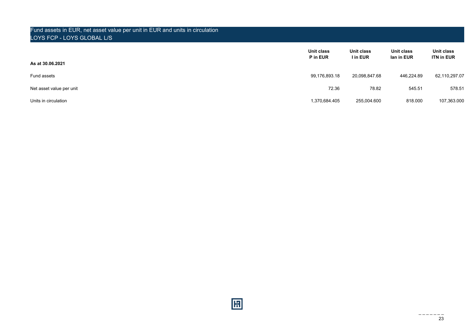## Fund assets in EUR, net asset value per unit in EUR and units in circulation LOYS FCP - LOYS GLOBAL L/S

| As at 30.06.2021         | Unit class<br>P in EUR | Unit class<br>I in EUR | Unit class<br>lan in EUR | Unit class<br><b>ITN in EUR</b> |
|--------------------------|------------------------|------------------------|--------------------------|---------------------------------|
| Fund assets              | 99,176,893.18          | 20,098,847.68          | 446,224.89               | 62,110,297.07                   |
| Net asset value per unit | 72.36                  | 78.82                  | 545.51                   | 578.51                          |
| Units in circulation     | 1,370,684.405          | 255,004.600            | 818,000                  | 107,363.000                     |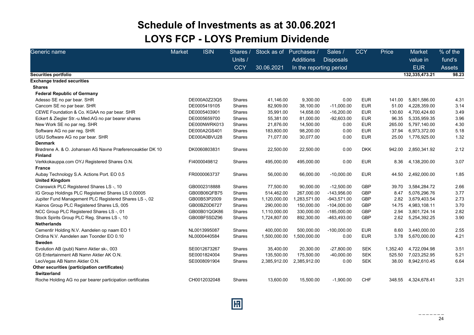## Schedule of Investments as at 30.06.2021 LOYS FCP - LOYS Premium Dividende

| Generic name                                              | <b>Market</b> | <b>ISIN</b>  | Shares /      | Stock as of  | Purchases /             | Sales /          | <b>CCY</b> | Price    | Market              | % of the      |
|-----------------------------------------------------------|---------------|--------------|---------------|--------------|-------------------------|------------------|------------|----------|---------------------|---------------|
|                                                           |               |              | Units /       |              | <b>Additions</b>        | <b>Disposals</b> |            |          | value in            | fund's        |
|                                                           |               |              | <b>CCY</b>    | 30.06.2021   | In the reporting period |                  |            |          | <b>EUR</b>          | <b>Assets</b> |
| Securities portfolio                                      |               |              |               |              |                         |                  |            |          | 132,335,473.21      | 98.23         |
| <b>Exchange traded securities</b>                         |               |              |               |              |                         |                  |            |          |                     |               |
| <b>Shares</b>                                             |               |              |               |              |                         |                  |            |          |                     |               |
| <b>Federal Republic of Germany</b>                        |               |              |               |              |                         |                  |            |          |                     |               |
| Adesso SE no par bear. SHR                                |               | DE000A0Z23Q5 | Shares        | 41,146.00    | 9,300.00                | 0.00             | <b>EUR</b> | 141.00   | 5,801,586.00        | 4.31          |
| Cancom SE no par bear. SHR                                |               | DE0005419105 | Shares        | 82,909.00    | 38,100.00               | $-11,000.00$     | <b>EUR</b> | 51.00    | 4,228,359.00        | 3.14          |
| CEWE Foundation & Co. KGAA no par bear. SHR               |               | DE0005403901 | Shares        | 35,991.00    | 14,658.00               | $-16,200.00$     | <b>EUR</b> | 130.60   | 4,700,424.60        | 3.49          |
| Eckert & Ziegler Str.-u.Med.AG no par bearer shares       |               | DE0005659700 | <b>Shares</b> | 55,381.00    | 81,000.00               | $-92,603.00$     | <b>EUR</b> | 96.35    | 5,335,959.35        | 3.96          |
| New Work SE no par reg. SHR                               |               | DE000NWRK013 | <b>Shares</b> | 21,876.00    | 14,500.00               | 0.00             | <b>EUR</b> | 265.00   | 5,797,140.00        | 4.30          |
| Software AG no par reg. SHR                               |               | DE000A2GS401 | Shares        | 183,800.00   | 98,200.00               | 0.00             | <b>EUR</b> | 37.94    | 6,973,372.00        | 5.18          |
| USU Software AG no par bear. SHR                          |               | DE000A0BVU28 | Shares        | 71,077.00    | 30,077.00               | 0.00             | <b>EUR</b> | 25.00    | 1,776,925.00        | 1.32          |
| <b>Denmark</b>                                            |               |              |               |              |                         |                  |            |          |                     |               |
| Brødrene A, & O, Johansen AS Navne Præferenceaktier DK 10 |               | DK0060803831 | <b>Shares</b> | 22,500.00    | 22,500.00               | 0.00             | <b>DKK</b> | 942.00   | 2,850,341.92        | 2.12          |
| <b>Finland</b>                                            |               |              |               |              |                         |                  |            |          |                     |               |
| Verkkokauppa.com OYJ Registered Shares O.N.               |               | FI4000049812 | Shares        | 495,000.00   | 495,000.00              | 0.00             | <b>EUR</b> | 8.36     | 4,138,200.00        | 3.07          |
| <b>France</b>                                             |               |              |               |              |                         |                  |            |          |                     |               |
| Aubay Technology S.A. Actions Port. EO 0.5                |               | FR0000063737 | Shares        | 56,000.00    | 66,000.00               | $-10,000.00$     | <b>EUR</b> | 44.50    | 2,492,000.00        | 1.85          |
| <b>United Kingdom</b>                                     |               |              |               |              |                         |                  |            |          |                     |               |
| Cranswick PLC Registered Shares LS-, 10                   |               | GB0002318888 | <b>Shares</b> | 77,500.00    | 90,000.00               | $-12,500.00$     | <b>GBP</b> | 39.70    | 3,584,284.72        | 2.66          |
| IG Group Holdings PLC Registered Shares LS 0.00005        |               | GB00B06QFB75 | Shares        | 514,462.00   | 267,000.00              | $-143,956.00$    | <b>GBP</b> | 8.47     | 5,076,296.76        | 3.77          |
| Jupiter Fund Management PLC Registered Shares LS-, 02     |               | GB00B53P2009 | Shares        | 1,120,000.00 | 1,283,571.00            | $-943,571.00$    | <b>GBP</b> | 2.82     | 3,679,403.54        | 2.73          |
| Kainos Group PLC Registered Shares LS, 005                |               | GB00BZ0D6727 | Shares        | 290,000.00   | 150,000.00              | $-104,000.00$    | <b>GBP</b> | 14.75    | 4,983,108.11        | 3.70          |
| NCC Group PLC Registered Shares LS-, 01                   |               | GB00B01QGK86 | Shares        | 1,110,000.00 | 330,000.00              | $-185,000.00$    | <b>GBP</b> | 2.94     | 3,801,724.14        | 2.82          |
| Stock Spirits Group PLC Reg. Shares LS-, 10               |               | GB00BF5SDZ96 | Shares        | 1,724,807.00 | 892,300.00              | -463,493.00      | <b>GBP</b> | 2.62     | 5,254,392.25        | 3.90          |
| <b>Netherlands</b>                                        |               |              |               |              |                         |                  |            |          |                     |               |
| Cementir Holding N.V. Aandelen op naam EO 1               |               | NL0013995087 | Shares        | 400,000.00   | 500,000.00              | $-100,000.00$    | <b>EUR</b> | 8.60     | 3,440,000.00        | 2.55          |
| Ordina N.V. Aandelen aan Toonder EO 0.10                  |               | NL0000440584 | Shares        | 1,500,000.00 | 1,500,000.00            | 0.00             | <b>EUR</b> | 3.78     | 5,670,000.00        | 4.21          |
| Sweden                                                    |               |              |               |              |                         |                  |            |          |                     |               |
| Evolution AB (publ) Namn Aktier sk-, 003                  |               | SE0012673267 | <b>Shares</b> | 35,400.00    | 20,300.00               | $-27,800.00$     | <b>SEK</b> | 1.352.40 | 4,722,094.98        | 3.51          |
| G5 Entertainment AB Namn Aktier AK O.N.                   |               | SE0001824004 | Shares        | 135,500.00   | 175,500.00              | $-40,000.00$     | <b>SEK</b> | 525.50   | 7,023,252.95        | 5.21          |
| LeoVegas AB Namn Aktier O.N.                              |               | SE0008091904 | Shares        | 2,385,912.00 | 2,385,912.00            | 0.00             | <b>SEK</b> | 38.00    | 8,942,610.45        | 6.64          |
| Other securities (participation certificates)             |               |              |               |              |                         |                  |            |          |                     |               |
| Switzerland                                               |               |              |               |              |                         |                  |            |          |                     |               |
| Roche Holding AG no par bearer participation certificates |               | CH0012032048 | <b>Shares</b> | 13,600.00    | 15,500.00               | $-1,900.00$      | <b>CHF</b> |          | 348.55 4,324,678.41 | 3.21          |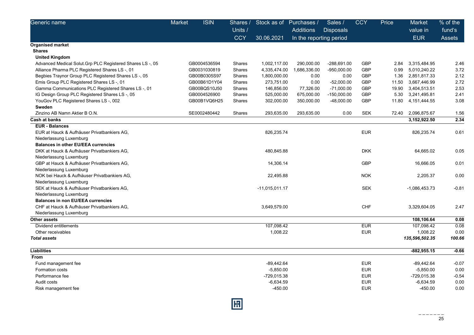| Generic name                                              | <b>Market</b> | <b>ISIN</b>  | Shares /   | Stock as of    | Purchases /             | Sales /          | <b>CCY</b> | Price | Market         | $%$ of the |
|-----------------------------------------------------------|---------------|--------------|------------|----------------|-------------------------|------------------|------------|-------|----------------|------------|
|                                                           |               |              | Units /    |                | <b>Additions</b>        | <b>Disposals</b> |            |       | value in       | fund's     |
|                                                           |               |              | <b>CCY</b> | 30.06.2021     | In the reporting period |                  |            |       | <b>EUR</b>     | Assets     |
| Organised market                                          |               |              |            |                |                         |                  |            |       |                |            |
| <b>Shares</b>                                             |               |              |            |                |                         |                  |            |       |                |            |
| <b>United Kingdom</b>                                     |               |              |            |                |                         |                  |            |       |                |            |
| Advanced Medical Solut. Grp PLC Registered Shares LS-, 05 |               | GB0004536594 | Shares     | 1,002,117.00   | 290,000.00              | $-288,691.00$    | <b>GBP</b> | 2.84  | 3,315,484.95   | 2.46       |
| Alliance Pharma PLC Registered Shares LS -, 01            |               | GB0031030819 | Shares     | 4,335,474.00   | 1,686,336.00            | $-950,000.00$    | <b>GBP</b> | 0.99  | 5,010,240.22   | 3.72       |
| Begbies Traynor Group PLC Registered Shares LS-, 05       |               | GB00B0305S97 | Shares     | 1,800,000.00   | 0.00                    | 0.00             | <b>GBP</b> | 1.36  | 2,851,817.33   | 2.12       |
| Emis Group PLC Registered Shares LS-, 01                  |               | GB00B61D1Y04 | Shares     | 273,751.00     | 0.00                    | $-52,000.00$     | <b>GBP</b> | 11.50 | 3,667,446.99   | 2.72       |
| Gamma Communications PLC Registered Shares LS-, 01        |               | GB00BQS10J50 | Shares     | 146,856.00     | 77,326.00               | $-71,000.00$     | <b>GBP</b> | 19.90 | 3,404,513.51   | 2.53       |
| IG Design Group PLC Registered Shares LS -, 05            |               | GB0004526900 | Shares     | 525,000.00     | 675,000.00              | $-150,000.00$    | GBP        | 5.30  | 3,241,495.81   | 2.41       |
| YouGov PLC Registered Shares LS -, 002                    |               | GB00B1VQ6H25 | Shares     | 302,000.00     | 350,000.00              | $-48,000.00$     | <b>GBP</b> | 11.80 | 4, 151, 444.55 | 3.08       |
| Sweden                                                    |               |              |            |                |                         |                  |            |       |                |            |
| Zinzino AB Namn Aktier B O.N.                             |               | SE0002480442 | Shares     | 293,635.00     | 293,635.00              | 0.00             | <b>SEK</b> | 72.40 | 2,096,875.67   | 1.56       |
| Cash at banks                                             |               |              |            |                |                         |                  |            |       | 3,152,922.50   | 2.34       |
| <b>EUR - Balances</b>                                     |               |              |            |                |                         |                  |            |       |                |            |
| EUR at Hauck & Aufhäuser Privatbankiers AG,               |               |              |            | 826,235.74     |                         |                  | <b>EUR</b> |       | 826,235.74     | 0.61       |
| Niederlassung Luxemburg                                   |               |              |            |                |                         |                  |            |       |                |            |
| <b>Balances in other EU/EEA currencies</b>                |               |              |            |                |                         |                  |            |       |                |            |
| DKK at Hauck & Aufhäuser Privatbankiers AG,               |               |              |            | 480,845.88     |                         |                  | <b>DKK</b> |       | 64,665.02      | 0.05       |
| Niederlassung Luxemburg                                   |               |              |            |                |                         |                  |            |       |                |            |
| GBP at Hauck & Aufhäuser Privatbankiers AG,               |               |              |            | 14,306.14      |                         |                  | <b>GBP</b> |       | 16,666.05      | 0.01       |
| Niederlassung Luxemburg                                   |               |              |            |                |                         |                  |            |       |                |            |
| NOK bei Hauck & Aufhäuser Privatbankiers AG,              |               |              |            | 22,495.88      |                         |                  | <b>NOK</b> |       | 2,205.37       | 0.00       |
| Niederlassung Luxemburg                                   |               |              |            |                |                         |                  |            |       |                |            |
| SEK at Hauck & Aufhäuser Privatbankiers AG,               |               |              |            | -11,015,011.17 |                         |                  | <b>SEK</b> |       | -1,086,453.73  | $-0.81$    |
| Niederlassung Luxemburg                                   |               |              |            |                |                         |                  |            |       |                |            |
| <b>Balances in non EU/EEA currencies</b>                  |               |              |            |                |                         |                  |            |       |                |            |
| CHF at Hauck & Aufhäuser Privatbankiers AG,               |               |              |            | 3,649,579.00   |                         |                  | <b>CHF</b> |       | 3,329,604.05   | 2.47       |
| Niederlassung Luxemburg                                   |               |              |            |                |                         |                  |            |       |                |            |
| Other assets                                              |               |              |            |                |                         |                  |            |       | 108,106.64     | 0.08       |
| Dividend entitlements                                     |               |              |            | 107,098.42     |                         |                  | <b>EUR</b> |       | 107,098.42     | 0.08       |
| Other receivables                                         |               |              |            | 1,008.22       |                         |                  | <b>EUR</b> |       | 1,008.22       | 0.00       |
| <b>Total assets</b>                                       |               |              |            |                |                         |                  |            |       | 135,596,502.35 | 100.66     |
| Liabilities                                               |               |              |            |                |                         |                  |            |       | $-882,955.15$  | $-0.66$    |
| From                                                      |               |              |            |                |                         |                  |            |       |                |            |
| Fund management fee                                       |               |              |            | $-89,442.64$   |                         |                  | <b>EUR</b> |       | -89,442.64     | $-0.07$    |
| Formation costs                                           |               |              |            | $-5,850.00$    |                         |                  | <b>EUR</b> |       | $-5,850.00$    | 0.00       |
| Performance fee                                           |               |              |            | -729,015.38    |                         |                  | <b>EUR</b> |       | -729,015.38    | $-0.54$    |
| Audit costs                                               |               |              |            | $-6,634.59$    |                         |                  | <b>EUR</b> |       | $-6,634.59$    | 0.00       |
| Risk management fee                                       |               |              |            | $-450.00$      |                         |                  | <b>EUR</b> |       | $-450.00$      | 0.00       |
|                                                           |               |              |            |                |                         |                  |            |       |                |            |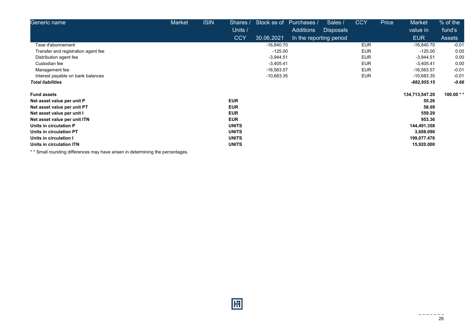| Generic name                        | Market | <b>ISIN</b> | Shares /     | Stock as of  | Purchases /             | Sales /          | <b>CCY</b> | Price | Market         | % of the       |
|-------------------------------------|--------|-------------|--------------|--------------|-------------------------|------------------|------------|-------|----------------|----------------|
|                                     |        |             | Units /      |              | Additions               | <b>Disposals</b> |            |       | value in       | fund's         |
|                                     |        |             | <b>CCY</b>   | 30.06.2021   | In the reporting period |                  |            |       | <b>EUR</b>     | <b>Assets</b>  |
| Taxe d'abonnement                   |        |             |              | $-16,840.70$ |                         |                  | <b>EUR</b> |       | $-16,840.70$   | $-0.01$        |
| Transfer and registration agent fee |        |             |              | $-125.00$    |                         |                  | <b>EUR</b> |       | $-125.00$      | 0.00           |
| Distribution agent fee              |        |             |              | $-3,944.51$  |                         |                  | <b>EUR</b> |       | $-3,944.51$    | 0.00           |
| Custodian fee                       |        |             |              | $-3,405.41$  |                         |                  | <b>EUR</b> |       | $-3,405.41$    | 0.00           |
| Management fee                      |        |             |              | $-16,563.57$ |                         |                  | <b>EUR</b> |       | $-16,563.57$   | $-0.01$        |
| Interest payable on bank balances   |        |             |              | $-10,683.35$ |                         |                  | <b>EUR</b> |       | $-10,683.35$   | $-0.01$        |
| <b>Total liabilities</b>            |        |             |              |              |                         |                  |            |       | -882,955.15    | $-0.66$        |
| <b>Fund assets</b>                  |        |             |              |              |                         |                  |            |       | 134,713,547.20 | 100.00 $*$ $*$ |
| Net asset value per unit P          |        |             | <b>EUR</b>   |              |                         |                  |            |       | 55.26          |                |
| Net asset value per unit PT         |        |             | <b>EUR</b>   |              |                         |                  |            |       | 58.09          |                |
| Net asset value per unit I          |        |             | <b>EUR</b>   |              |                         |                  |            |       | 559.29         |                |
| Net asset value per unit ITN        |        |             | <b>EUR</b>   |              |                         |                  |            |       | 953.36         |                |
| Units in circulation P              |        |             | <b>UNITS</b> |              |                         |                  |            |       | 144,491.358    |                |
| Units in circulation PT             |        |             | <b>UNITS</b> |              |                         |                  |            |       | 3,608.090      |                |
| Units in circulation I              |        |             | <b>UNITS</b> |              |                         |                  |            |       | 199,077.476    |                |
| Units in circulation ITN            |        |             | <b>UNITS</b> |              |                         |                  |            |       | 15,920.000     |                |

\* \* Small rounding differences may have arisen in determining the percentages.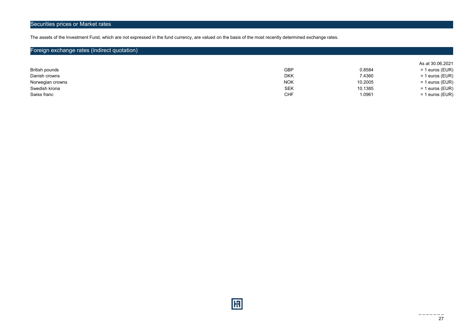## Securities prices or Market rates

The assets of the Investment Fund, which are not expressed in the fund currency, are valued on the basis of the most recently determined exchange rates.

## Foreign exchange rates (indirect quotation)

|                  |            |         | As at 30.06.2021  |
|------------------|------------|---------|-------------------|
| British pounds   | <b>GBP</b> | 0.8584  | $= 1$ euros (EUR) |
| Danish crowns    | <b>DKK</b> | 7.4360  | $= 1$ euros (EUR) |
| Norwegian crowns | <b>NOK</b> | 10.2005 | = 1 euros (EUR)   |
| Swedish krona    | <b>SEK</b> | 10.1385 | = 1 euros (EUR)   |
| Swiss franc      | CHF        | 1.0961  | $= 1$ euros (EUR) |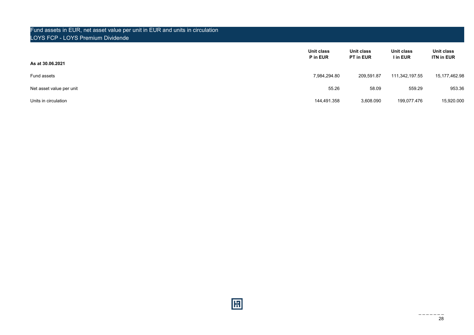## Fund assets in EUR, net asset value per unit in EUR and units in circulation LOYS FCP - LOYS Premium Dividende

| As at 30.06.2021         | Unit class<br>P in EUR | Unit class<br>PT in EUR | Unit class<br>I in EUR | Unit class<br><b>ITN in EUR</b> |
|--------------------------|------------------------|-------------------------|------------------------|---------------------------------|
| Fund assets              | 7,984,294.80           | 209,591.87              | 111,342,197.55         | 15,177,462.98                   |
| Net asset value per unit | 55.26                  | 58.09                   | 559.29                 | 953.36                          |
| Units in circulation     | 144,491.358            | 3,608.090               | 199,077.476            | 15,920.000                      |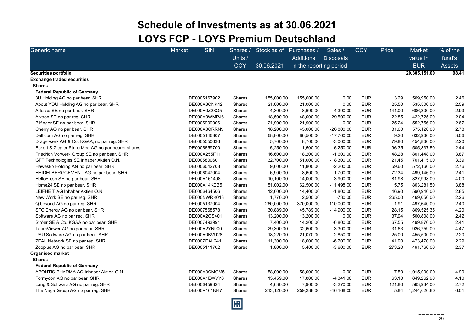## Schedule of Investments as at 30.06.2021 LOYS FCP - LOYS Premium Deutschland

| Generic name                                        | Market       | <b>ISIN</b><br>Shares /<br>Units /<br><b>CCY</b> | Stock as of<br>30.06.2021 | Purchases /<br><b>Additions</b><br>in the reporting period | Sales /<br><b>Disposals</b> | <b>CCY</b> | Price  | <b>Market</b><br>value in<br><b>EUR</b> | % of the<br>fund's<br><b>Assets</b> |
|-----------------------------------------------------|--------------|--------------------------------------------------|---------------------------|------------------------------------------------------------|-----------------------------|------------|--------|-----------------------------------------|-------------------------------------|
| Securities portfolio                                |              |                                                  |                           |                                                            |                             |            |        | 20,385,151.00                           | 98.41                               |
| <b>Exchange traded securities</b>                   |              |                                                  |                           |                                                            |                             |            |        |                                         |                                     |
| <b>Shares</b>                                       |              |                                                  |                           |                                                            |                             |            |        |                                         |                                     |
| <b>Federal Republic of Germany</b>                  |              |                                                  |                           |                                                            |                             |            |        |                                         |                                     |
| 3U Holding AG no par bear. SHR                      | DE0005167902 | Shares                                           | 155,000.00                | 155,000.00                                                 | 0.00                        | <b>EUR</b> | 3.29   | 509,950.00                              | 2.46                                |
| About YOU Holding AG no par bear. SHR               | DE000A3CNK42 | Shares                                           | 21,000.00                 | 21,000.00                                                  | 0.00                        | <b>EUR</b> | 25.50  | 535,500.00                              | 2.59                                |
| Adesso SE no par bear. SHR                          | DE000A0Z23Q5 | Shares                                           | 4,300.00                  | 8,690.00                                                   | $-4,390.00$                 | <b>EUR</b> | 141.00 | 606,300.00                              | 2.93                                |
| Aixtron SE no par reg. SHR                          | DE000A0WMPJ6 | Shares                                           | 18,500.00                 | 48,000.00                                                  | $-29,500.00$                | <b>EUR</b> | 22.85  | 422,725.00                              | 2.04                                |
| Bilfinger SE no par bear. SHR                       | DE0005909006 | Shares                                           | 21,900.00                 | 21,900.00                                                  | 0.00                        | <b>EUR</b> | 25.24  | 552,756.00                              | 2.67                                |
| Cherry AG no par bear. SHR                          | DE000A3CRRN9 | Shares                                           | 18,200.00                 | 45,000.00                                                  | $-26,800.00$                | <b>EUR</b> | 31.60  | 575,120.00                              | 2.78                                |
| Delticom AG no par reg. SHR                         | DE0005146807 | Shares                                           | 68,800.00                 | 86,500.00                                                  | $-17,700.00$                | <b>EUR</b> | 9.20   | 632,960.00                              | 3.06                                |
| Drägerwerk AG & Co. KGAA, no par reg. SHR           | DE0005550636 | <b>Shares</b>                                    | 5,700.00                  | 8,700.00                                                   | $-3,000.00$                 | <b>EUR</b> | 79.80  | 454,860.00                              | 2.20                                |
| Eckert & Ziegler Str.-u.Med.AG no par bearer shares | DE0005659700 | Shares                                           | 5,250.00                  | 11,500.00                                                  | $-6,250.00$                 | <b>EUR</b> | 96.35  | 505,837.50                              | 2.44                                |
| Friedrich Vorwerk Group SE no par bear. SHR         | DE000A255F11 | Shares                                           | 16,600.00                 | 18,200.00                                                  | $-1,600.00$                 | <b>EUR</b> | 48.28  | 801,448.00                              | 3.87                                |
| GFT Technologies SE Inhaber Aktien O.N.             | DE0005800601 | Shares                                           | 32,700.00                 | 51,000.00                                                  | $-18,300.00$                | <b>EUR</b> | 21.45  | 701,415.00                              | 3.39                                |
| Hawesko Holding AG no par bear. SHR                 | DE0006042708 | Shares                                           | 9,600.00                  | 11,800.00                                                  | $-2,200.00$                 | <b>EUR</b> | 59.60  | 572,160.00                              | 2.76                                |
| HEIDELBERGCEMENT AG no par bear. SHR                | DE0006047004 | Shares                                           | 6,900.00                  | 8,600.00                                                   | $-1,700.00$                 | <b>EUR</b> | 72.34  | 499,146.00                              | 2.41                                |
| HelloFresh SE no par bear. SHR                      | DE000A161408 | Shares                                           | 10,100.00                 | 14,000.00                                                  | $-3,900.00$                 | <b>EUR</b> | 81.98  | 827,998.00                              | 4.00                                |
| Home24 SE no par bear. SHR                          | DE000A14KEB5 | Shares                                           | 51,002.00                 | 62,500.00                                                  | $-11,498.00$                | <b>EUR</b> | 15.75  | 803,281.50                              | 3.88                                |
| LEIFHEIT AG Inhaber Aktien O.N.                     | DE0006464506 | Shares                                           | 12,600.00                 | 14,400.00                                                  | $-1,800.00$                 | <b>EUR</b> | 46.90  | 590,940.00                              | 2.85                                |
| New Work SE no par reg. SHR                         |              | DE000NWRK013<br>Shares                           | 1,770.00                  | 2,500.00                                                   | $-730.00$                   | <b>EUR</b> | 265.00 | 469,050.00                              | 2.26                                |
| Q beyond AG no par reg. SHR                         | DE0005137004 | Shares                                           | 260,000.00                | 370,000.00                                                 | $-110,000.00$               | <b>EUR</b> | 1.91   | 497,640.00                              | 2.40                                |
| SFC Energy AG no par bear. SHR                      | DE0007568578 | Shares                                           | 30,889.00                 | 45,789.00                                                  | $-14,900.00$                | <b>EUR</b> | 28.15  | 869,525.35                              | 4.20                                |
| Software AG no par reg. SHR                         | DE000A2GS401 | Shares                                           | 13,200.00                 | 13,200.00                                                  | 0.00                        | <b>EUR</b> | 37.94  | 500,808.00                              | 2.42                                |
| Ströer SE & Co. KGAA no par bear. SHR               | DE0007493991 | <b>Shares</b>                                    | 7,400.00                  | 14,200.00                                                  | $-6,800.00$                 | <b>EUR</b> | 67.55  | 499,870.00                              | 2.41                                |
| TeamViewer AG no par bear. SHR                      | DE000A2YN900 | Shares                                           | 29,300.00                 | 32,600.00                                                  | $-3,300.00$                 | <b>EUR</b> | 31.63  | 926,759.00                              | 4.47                                |
| USU Software AG no par bear. SHR                    | DE000A0BVU28 | Shares                                           | 18,220.00                 | 21,070.00                                                  | $-2,850.00$                 | <b>EUR</b> | 25.00  | 455,500.00                              | 2.20                                |
| ZEAL Network SE no par reg. SHR                     | DE000ZEAL241 | Shares                                           | 11,300.00                 | 18,000.00                                                  | $-6,700.00$                 | <b>EUR</b> | 41.90  | 473,470.00                              | 2.29                                |
| Zooplus AG no par bear. SHR                         | DE0005111702 | Shares                                           | 1,800.00                  | 5,400.00                                                   | $-3,600.00$                 | <b>EUR</b> | 273.20 | 491,760.00                              | 2.37                                |
| <b>Organised market</b>                             |              |                                                  |                           |                                                            |                             |            |        |                                         |                                     |
| <b>Shares</b>                                       |              |                                                  |                           |                                                            |                             |            |        |                                         |                                     |
| <b>Federal Republic of Germany</b>                  |              |                                                  |                           |                                                            |                             |            |        |                                         |                                     |
| APONTIS PHARMA AG Inhaber Aktien O.N.               |              | DE000A3CMGM5<br>Shares                           | 58,000.00                 | 58,000.00                                                  | 0.00                        | <b>EUR</b> | 17.50  | 1,015,000.00                            | 4.90                                |
| Formycon AG no par bear. SHR                        | DE000A1EWVY8 | Shares                                           | 13,459.00                 | 17,800.00                                                  | $-4,341.00$                 | <b>EUR</b> | 63.10  | 849,262.90                              | 4.10                                |
| Lang & Schwarz AG no par reg. SHR                   | DE0006459324 | Shares                                           | 4,630.00                  | 7,900.00                                                   | $-3,270.00$                 | <b>EUR</b> | 121.80 | 563,934.00                              | 2.72                                |
| The Naga Group AG no par reg. SHR                   | DE000A161NR7 | Shares                                           | 213,120.00                | 259,288.00                                                 | $-46, 168.00$               | <b>EUR</b> | 5.84   | 1,244,620.80                            | 6.01                                |

圓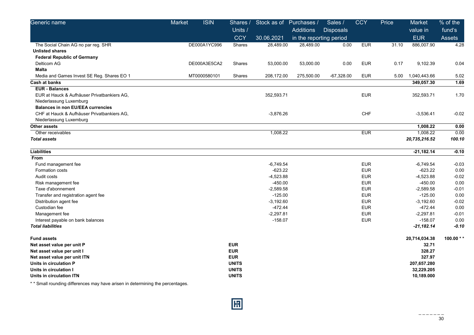| Generic name                                | <b>Market</b> | <b>ISIN</b>  | Shares /      | Stock as of | Purchases /             | Sales /          | <b>CCY</b> | Price | Market        | % of the   |
|---------------------------------------------|---------------|--------------|---------------|-------------|-------------------------|------------------|------------|-------|---------------|------------|
|                                             |               |              | Units /       |             | <b>Additions</b>        | <b>Disposals</b> |            |       | value in      | fund's     |
|                                             |               |              | <b>CCY</b>    | 30.06.2021  | in the reporting period |                  |            |       | <b>EUR</b>    | Assets     |
| The Social Chain AG no par reg. SHR         |               | DE000A1YC996 | Shares        | 28,489.00   | 28,489.00               | 0.00             | <b>EUR</b> | 31.10 | 886,007.90    | 4.28       |
| <b>Unlisted shares</b>                      |               |              |               |             |                         |                  |            |       |               |            |
| <b>Federal Republic of Germany</b>          |               |              |               |             |                         |                  |            |       |               |            |
| Delticom AG                                 |               | DE000A3E5CA2 | <b>Shares</b> | 53,000.00   | 53,000.00               | 0.00             | <b>EUR</b> | 0.17  | 9,102.39      | 0.04       |
| <b>Malta</b>                                |               |              |               |             |                         |                  |            |       |               |            |
| Media and Games Invest SE Reg. Shares EO 1  |               | MT0000580101 | Shares        | 208,172.00  | 275,500.00              | $-67,328.00$     | <b>EUR</b> | 5.00  | 1,040,443.66  | 5.02       |
| Cash at banks                               |               |              |               |             |                         |                  |            |       | 349,057.30    | 1.69       |
| <b>EUR - Balances</b>                       |               |              |               |             |                         |                  |            |       |               |            |
| EUR at Hauck & Aufhäuser Privatbankiers AG, |               |              |               | 352,593.71  |                         |                  | <b>EUR</b> |       | 352,593.71    | 1.70       |
| Niederlassung Luxemburg                     |               |              |               |             |                         |                  |            |       |               |            |
| <b>Balances in non EU/EEA currencies</b>    |               |              |               |             |                         |                  |            |       |               |            |
| CHF at Hauck & Aufhäuser Privatbankiers AG, |               |              |               | $-3,876.26$ |                         |                  | CHF        |       | $-3,536.41$   | $-0.02$    |
| Niederlassung Luxemburg                     |               |              |               |             |                         |                  |            |       |               |            |
| Other assets                                |               |              |               |             |                         |                  |            |       | 1,008.22      | 0.00       |
| Other receivables                           |               |              |               | 1,008.22    |                         |                  | <b>EUR</b> |       | 1,008.22      | 0.00       |
| <b>Total assets</b>                         |               |              |               |             |                         |                  |            |       | 20,735,216.52 | 100.10     |
| <b>Liabilities</b>                          |               |              |               |             |                         |                  |            |       | $-21,182.14$  | $-0.10$    |
| From                                        |               |              |               |             |                         |                  |            |       |               |            |
| Fund management fee                         |               |              |               | $-6,749.54$ |                         |                  | <b>EUR</b> |       | $-6,749.54$   | $-0.03$    |
| Formation costs                             |               |              |               | $-623.22$   |                         |                  | <b>EUR</b> |       | $-623.22$     | 0.00       |
| Audit costs                                 |               |              |               | $-4,523.88$ |                         |                  | <b>EUR</b> |       | $-4,523.88$   | $-0.02$    |
| Risk management fee                         |               |              |               | $-450.00$   |                         |                  | <b>EUR</b> |       | $-450.00$     | 0.00       |
| Taxe d'abonnement                           |               |              |               | $-2,589.58$ |                         |                  | <b>EUR</b> |       | $-2,589.58$   | $-0.01$    |
| Transfer and registration agent fee         |               |              |               | $-125.00$   |                         |                  | <b>EUR</b> |       | $-125.00$     | 0.00       |
| Distribution agent fee                      |               |              |               | $-3,192.60$ |                         |                  | <b>EUR</b> |       | $-3,192.60$   | $-0.02$    |
| Custodian fee                               |               |              |               | $-472.44$   |                         |                  | <b>EUR</b> |       | $-472.44$     | 0.00       |
| Management fee                              |               |              |               | $-2,297.81$ |                         |                  | <b>EUR</b> |       | $-2,297.81$   | $-0.01$    |
| Interest payable on bank balances           |               |              |               | $-158.07$   |                         |                  | <b>EUR</b> |       | $-158.07$     | 0.00       |
| <b>Total liabilities</b>                    |               |              |               |             |                         |                  |            |       | $-21,182.14$  | $-0.10$    |
| <b>Fund assets</b>                          |               |              |               |             |                         |                  |            |       | 20,714,034.38 | 100.00 $*$ |
| Net asset value per unit P                  |               |              | <b>EUR</b>    |             |                         |                  |            |       | 32.71         |            |
| Net asset value per unit I                  |               |              | <b>EUR</b>    |             |                         |                  |            |       | 328.27        |            |
| Net asset value per unit ITN                |               |              | <b>EUR</b>    |             |                         |                  |            |       | 327.97        |            |
| Units in circulation P                      |               |              | <b>UNITS</b>  |             |                         |                  |            |       | 207,657.280   |            |
| Units in circulation I                      |               |              | <b>UNITS</b>  |             |                         |                  |            |       | 32,229.205    |            |
| Units in circulation ITN                    |               |              | <b>UNITS</b>  |             |                         |                  |            |       | 10,189.000    |            |

\* \* Small rounding differences may have arisen in determining the percentages.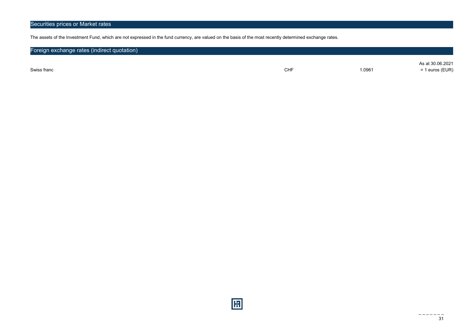The assets of the Investment Fund, which are not expressed in the fund currency, are valued on the basis of the most recently determined exchange rates.

| Foreign exchange rates (indirect quotation) |            |        |                                     |
|---------------------------------------------|------------|--------|-------------------------------------|
| Swiss franc                                 | <b>CHF</b> | 1.0961 | As at 30.06.2021<br>= 1 euros (EUR) |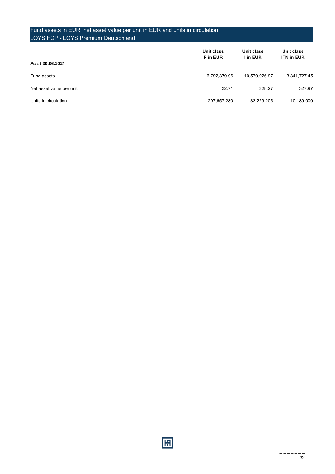## Fund assets in EUR, net asset value per unit in EUR and units in circulation LOYS FCP - LOYS Premium Deutschland

| As at 30.06.2021         | Unit class<br>P in EUR | Unit class<br>I in EUR | Unit class<br><b>ITN in EUR</b> |
|--------------------------|------------------------|------------------------|---------------------------------|
| Fund assets              | 6,792,379.96           | 10,579,926.97          | 3,341,727.45                    |
| Net asset value per unit | 32.71                  | 328.27                 | 327.97                          |
| Units in circulation     | 207,657.280            | 32.229.205             | 10,189.000                      |